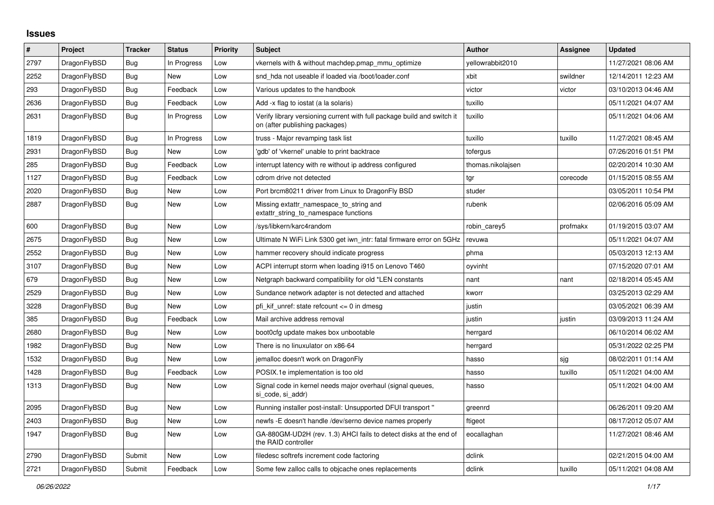## **Issues**

| #    | Project      | Tracker    | <b>Status</b> | <b>Priority</b> | <b>Subject</b>                                                                                            | <b>Author</b>     | Assignee | <b>Updated</b>      |
|------|--------------|------------|---------------|-----------------|-----------------------------------------------------------------------------------------------------------|-------------------|----------|---------------------|
| 2797 | DragonFlyBSD | Bug        | In Progress   | Low             | vkernels with & without machdep.pmap mmu optimize                                                         | vellowrabbit2010  |          | 11/27/2021 08:06 AM |
| 2252 | DragonFlyBSD | Bug        | New           | Low             | snd hda not useable if loaded via /boot/loader.conf                                                       | xbit              | swildner | 12/14/2011 12:23 AM |
| 293  | DragonFlyBSD | Bug        | Feedback      | Low             | Various updates to the handbook                                                                           | victor            | victor   | 03/10/2013 04:46 AM |
| 2636 | DragonFlyBSD | <b>Bug</b> | Feedback      | Low             | Add -x flag to iostat (a la solaris)                                                                      | tuxillo           |          | 05/11/2021 04:07 AM |
| 2631 | DragonFlyBSD | Bug        | In Progress   | Low             | Verify library versioning current with full package build and switch it<br>on (after publishing packages) | tuxillo           |          | 05/11/2021 04:06 AM |
| 1819 | DragonFlyBSD | Bug        | In Progress   | Low             | truss - Major revamping task list                                                                         | tuxillo           | tuxillo  | 11/27/2021 08:45 AM |
| 2931 | DragonFlyBSD | Bug        | New           | Low             | 'gdb' of 'vkernel' unable to print backtrace                                                              | tofergus          |          | 07/26/2016 01:51 PM |
| 285  | DragonFlyBSD | Bug        | Feedback      | Low             | interrupt latency with re without ip address configured                                                   | thomas.nikolajsen |          | 02/20/2014 10:30 AM |
| 1127 | DragonFlyBSD | <b>Bug</b> | Feedback      | Low             | cdrom drive not detected                                                                                  | tgr               | corecode | 01/15/2015 08:55 AM |
| 2020 | DragonFlyBSD | Bug        | New           | Low             | Port brcm80211 driver from Linux to DragonFly BSD                                                         | studer            |          | 03/05/2011 10:54 PM |
| 2887 | DragonFlyBSD | Bug        | <b>New</b>    | Low             | Missing extattr namespace to string and<br>extattr string to namespace functions                          | rubenk            |          | 02/06/2016 05:09 AM |
| 600  | DragonFlyBSD | Bug        | <b>New</b>    | Low             | /sys/libkern/karc4random                                                                                  | robin carey5      | profmakx | 01/19/2015 03:07 AM |
| 2675 | DragonFlyBSD | Bug        | <b>New</b>    | Low             | Ultimate N WiFi Link 5300 get iwn_intr: fatal firmware error on 5GHz                                      | revuwa            |          | 05/11/2021 04:07 AM |
| 2552 | DragonFlyBSD | Bug        | New           | Low             | hammer recovery should indicate progress                                                                  | phma              |          | 05/03/2013 12:13 AM |
| 3107 | DragonFlyBSD | <b>Bug</b> | <b>New</b>    | Low             | ACPI interrupt storm when loading i915 on Lenovo T460                                                     | oyvinht           |          | 07/15/2020 07:01 AM |
| 679  | DragonFlyBSD | Bug        | <b>New</b>    | Low             | Netgraph backward compatibility for old *LEN constants                                                    | nant              | nant     | 02/18/2014 05:45 AM |
| 2529 | DragonFlyBSD | Bug        | New           | Low             | Sundance network adapter is not detected and attached                                                     | kworr             |          | 03/25/2013 02:29 AM |
| 3228 | DragonFlyBSD | <b>Bug</b> | New           | Low             | pfi kif unref: state refcount <= 0 in dmesg                                                               | justin            |          | 03/05/2021 06:39 AM |
| 385  | DragonFlyBSD | <b>Bug</b> | Feedback      | Low             | Mail archive address removal                                                                              | justin            | justin   | 03/09/2013 11:24 AM |
| 2680 | DragonFlyBSD | <b>Bug</b> | <b>New</b>    | Low             | boot0cfg update makes box unbootable                                                                      | herrgard          |          | 06/10/2014 06:02 AM |
| 1982 | DragonFlyBSD | <b>Bug</b> | <b>New</b>    | Low             | There is no linuxulator on x86-64                                                                         | herrgard          |          | 05/31/2022 02:25 PM |
| 1532 | DragonFlyBSD | Bug        | New           | Low             | jemalloc doesn't work on DragonFly                                                                        | hasso             | sjg      | 08/02/2011 01:14 AM |
| 1428 | DragonFlyBSD | Bug        | Feedback      | Low             | POSIX.1e implementation is too old                                                                        | hasso             | tuxillo  | 05/11/2021 04:00 AM |
| 1313 | DragonFlyBSD | <b>Bug</b> | <b>New</b>    | Low             | Signal code in kernel needs major overhaul (signal queues,<br>si code, si addr)                           | hasso             |          | 05/11/2021 04:00 AM |
| 2095 | DragonFlyBSD | <b>Bug</b> | New           | Low             | Running installer post-install: Unsupported DFUI transport "                                              | greenrd           |          | 06/26/2011 09:20 AM |
| 2403 | DragonFlyBSD | <b>Bug</b> | New           | Low             | newfs - E doesn't handle /dev/serno device names properly                                                 | ftigeot           |          | 08/17/2012 05:07 AM |
| 1947 | DragonFlyBSD | Bug        | New           | Low             | GA-880GM-UD2H (rev. 1.3) AHCI fails to detect disks at the end of<br>the RAID controller                  | eocallaghan       |          | 11/27/2021 08:46 AM |
| 2790 | DragonFlyBSD | Submit     | <b>New</b>    | Low             | filedesc softrefs increment code factoring                                                                | dclink            |          | 02/21/2015 04:00 AM |
| 2721 | DragonFlyBSD | Submit     | Feedback      | Low             | Some few zalloc calls to objcache ones replacements                                                       | dclink            | tuxillo  | 05/11/2021 04:08 AM |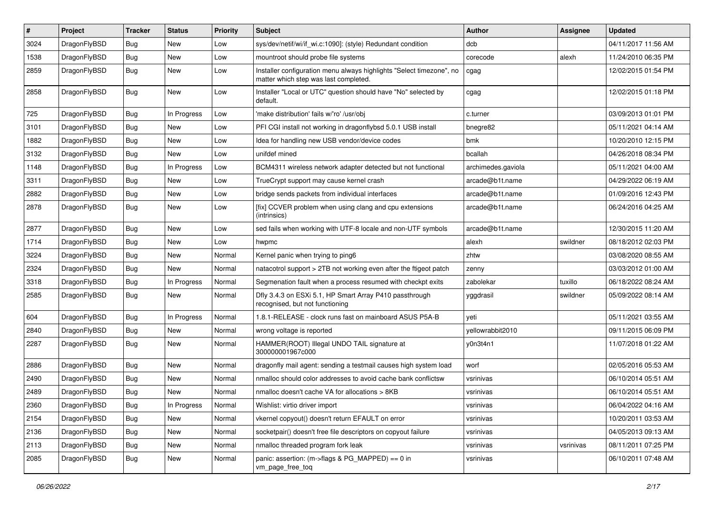| $\pmb{\#}$ | Project      | <b>Tracker</b> | <b>Status</b> | <b>Priority</b> | Subject                                                                                                       | <b>Author</b>      | Assignee  | <b>Updated</b>      |
|------------|--------------|----------------|---------------|-----------------|---------------------------------------------------------------------------------------------------------------|--------------------|-----------|---------------------|
| 3024       | DragonFlyBSD | Bug            | <b>New</b>    | Low             | sys/dev/netif/wi/if_wi.c:1090]: (style) Redundant condition                                                   | dcb                |           | 04/11/2017 11:56 AM |
| 1538       | DragonFlyBSD | Bug            | <b>New</b>    | Low             | mountroot should probe file systems                                                                           | corecode           | alexh     | 11/24/2010 06:35 PM |
| 2859       | DragonFlyBSD | Bug            | <b>New</b>    | Low             | Installer configuration menu always highlights "Select timezone", no<br>matter which step was last completed. | cgag               |           | 12/02/2015 01:54 PM |
| 2858       | DragonFlyBSD | Bug            | New           | Low             | Installer "Local or UTC" question should have "No" selected by<br>default.                                    | cgag               |           | 12/02/2015 01:18 PM |
| 725        | DragonFlyBSD | Bug            | In Progress   | Low             | 'make distribution' fails w/'ro' /usr/obj                                                                     | c.turner           |           | 03/09/2013 01:01 PM |
| 3101       | DragonFlyBSD | Bug            | <b>New</b>    | Low             | PFI CGI install not working in dragonflybsd 5.0.1 USB install                                                 | bnegre82           |           | 05/11/2021 04:14 AM |
| 1882       | DragonFlyBSD | Bug            | <b>New</b>    | Low             | Idea for handling new USB vendor/device codes                                                                 | bmk                |           | 10/20/2010 12:15 PM |
| 3132       | DragonFlyBSD | Bug            | <b>New</b>    | Low             | unifdef mined                                                                                                 | bcallah            |           | 04/26/2018 08:34 PM |
| 1148       | DragonFlyBSD | Bug            | In Progress   | Low             | BCM4311 wireless network adapter detected but not functional                                                  | archimedes.gaviola |           | 05/11/2021 04:00 AM |
| 3311       | DragonFlyBSD | Bug            | <b>New</b>    | Low             | TrueCrypt support may cause kernel crash                                                                      | arcade@b1t.name    |           | 04/29/2022 06:19 AM |
| 2882       | DragonFlyBSD | Bug            | New           | Low             | bridge sends packets from individual interfaces                                                               | arcade@b1t.name    |           | 01/09/2016 12:43 PM |
| 2878       | DragonFlyBSD | Bug            | New           | Low             | [fix] CCVER problem when using clang and cpu extensions<br>(intrinsics)                                       | arcade@b1t.name    |           | 06/24/2016 04:25 AM |
| 2877       | DragonFlyBSD | Bug            | <b>New</b>    | Low             | sed fails when working with UTF-8 locale and non-UTF symbols                                                  | arcade@b1t.name    |           | 12/30/2015 11:20 AM |
| 1714       | DragonFlyBSD | Bug            | <b>New</b>    | Low             | hwpmc                                                                                                         | alexh              | swildner  | 08/18/2012 02:03 PM |
| 3224       | DragonFlyBSD | Bug            | <b>New</b>    | Normal          | Kernel panic when trying to ping6                                                                             | zhtw               |           | 03/08/2020 08:55 AM |
| 2324       | DragonFlyBSD | Bug            | <b>New</b>    | Normal          | natacotrol support > 2TB not working even after the ftigeot patch                                             | zenny              |           | 03/03/2012 01:00 AM |
| 3318       | DragonFlyBSD | Bug            | In Progress   | Normal          | Segmenation fault when a process resumed with checkpt exits                                                   | zabolekar          | tuxillo   | 06/18/2022 08:24 AM |
| 2585       | DragonFlyBSD | Bug            | New           | Normal          | Dfly 3.4.3 on ESXi 5.1, HP Smart Array P410 passthrough<br>recognised, but not functioning                    | yggdrasil          | swildner  | 05/09/2022 08:14 AM |
| 604        | DragonFlyBSD | Bug            | In Progress   | Normal          | 1.8.1-RELEASE - clock runs fast on mainboard ASUS P5A-B                                                       | yeti               |           | 05/11/2021 03:55 AM |
| 2840       | DragonFlyBSD | Bug            | <b>New</b>    | Normal          | wrong voltage is reported                                                                                     | yellowrabbit2010   |           | 09/11/2015 06:09 PM |
| 2287       | DragonFlyBSD | Bug            | <b>New</b>    | Normal          | HAMMER(ROOT) Illegal UNDO TAIL signature at<br>300000001967c000                                               | y0n3t4n1           |           | 11/07/2018 01:22 AM |
| 2886       | DragonFlyBSD | Bug            | <b>New</b>    | Normal          | dragonfly mail agent: sending a testmail causes high system load                                              | worf               |           | 02/05/2016 05:53 AM |
| 2490       | DragonFlyBSD | Bug            | <b>New</b>    | Normal          | nmalloc should color addresses to avoid cache bank conflictsw                                                 | vsrinivas          |           | 06/10/2014 05:51 AM |
| 2489       | DragonFlyBSD | Bug            | New           | Normal          | nmalloc doesn't cache VA for allocations > 8KB                                                                | vsrinivas          |           | 06/10/2014 05:51 AM |
| 2360       | DragonFlyBSD | <b>Bug</b>     | In Progress   | Normal          | Wishlist: virtio driver import                                                                                | vsrinivas          |           | 06/04/2022 04:16 AM |
| 2154       | DragonFlyBSD | <b>Bug</b>     | New           | Normal          | vkernel copyout() doesn't return EFAULT on error                                                              | vsrinivas          |           | 10/20/2011 03:53 AM |
| 2136       | DragonFlyBSD | <b>Bug</b>     | New           | Normal          | socketpair() doesn't free file descriptors on copyout failure                                                 | vsrinivas          |           | 04/05/2013 09:13 AM |
| 2113       | DragonFlyBSD | Bug            | New           | Normal          | nmalloc threaded program fork leak                                                                            | vsrinivas          | vsrinivas | 08/11/2011 07:25 PM |
| 2085       | DragonFlyBSD | <b>Bug</b>     | New           | Normal          | panic: assertion: (m->flags & PG_MAPPED) == $0$ in<br>vm_page_free_toq                                        | vsrinivas          |           | 06/10/2011 07:48 AM |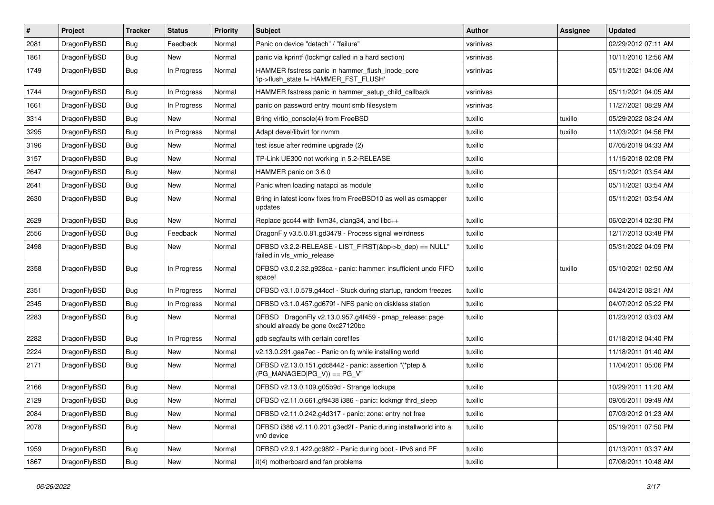| $\vert$ # | Project      | <b>Tracker</b> | <b>Status</b> | <b>Priority</b> | <b>Subject</b>                                                                               | Author    | Assignee | <b>Updated</b>      |
|-----------|--------------|----------------|---------------|-----------------|----------------------------------------------------------------------------------------------|-----------|----------|---------------------|
| 2081      | DragonFlyBSD | <b>Bug</b>     | Feedback      | Normal          | Panic on device "detach" / "failure"                                                         | vsrinivas |          | 02/29/2012 07:11 AM |
| 1861      | DragonFlyBSD | Bug            | <b>New</b>    | Normal          | panic via kprintf (lockmgr called in a hard section)                                         | vsrinivas |          | 10/11/2010 12:56 AM |
| 1749      | DragonFlyBSD | <b>Bug</b>     | In Progress   | Normal          | HAMMER fsstress panic in hammer_flush_inode_core<br>'ip->flush state != HAMMER FST FLUSH'    | vsrinivas |          | 05/11/2021 04:06 AM |
| 1744      | DragonFlyBSD | Bug            | In Progress   | Normal          | HAMMER fsstress panic in hammer_setup_child_callback                                         | vsrinivas |          | 05/11/2021 04:05 AM |
| 1661      | DragonFlyBSD | <b>Bug</b>     | In Progress   | Normal          | panic on password entry mount smb filesystem                                                 | vsrinivas |          | 11/27/2021 08:29 AM |
| 3314      | DragonFlyBSD | Bug            | New           | Normal          | Bring virtio_console(4) from FreeBSD                                                         | tuxillo   | tuxillo  | 05/29/2022 08:24 AM |
| 3295      | DragonFlyBSD | <b>Bug</b>     | In Progress   | Normal          | Adapt devel/libvirt for nvmm                                                                 | tuxillo   | tuxillo  | 11/03/2021 04:56 PM |
| 3196      | DragonFlyBSD | <b>Bug</b>     | New           | Normal          | test issue after redmine upgrade (2)                                                         | tuxillo   |          | 07/05/2019 04:33 AM |
| 3157      | DragonFlyBSD | Bug            | <b>New</b>    | Normal          | TP-Link UE300 not working in 5.2-RELEASE                                                     | tuxillo   |          | 11/15/2018 02:08 PM |
| 2647      | DragonFlyBSD | <b>Bug</b>     | New           | Normal          | HAMMER panic on 3.6.0                                                                        | tuxillo   |          | 05/11/2021 03:54 AM |
| 2641      | DragonFlyBSD | <b>Bug</b>     | New           | Normal          | Panic when loading natapci as module                                                         | tuxillo   |          | 05/11/2021 03:54 AM |
| 2630      | DragonFlyBSD | Bug            | <b>New</b>    | Normal          | Bring in latest iconv fixes from FreeBSD10 as well as csmapper<br>updates                    | tuxillo   |          | 05/11/2021 03:54 AM |
| 2629      | DragonFlyBSD | Bug            | <b>New</b>    | Normal          | Replace gcc44 with llvm34, clang34, and libc++                                               | tuxillo   |          | 06/02/2014 02:30 PM |
| 2556      | DragonFlyBSD | <b>Bug</b>     | Feedback      | Normal          | DragonFly v3.5.0.81.gd3479 - Process signal weirdness                                        | tuxillo   |          | 12/17/2013 03:48 PM |
| 2498      | DragonFlyBSD | <b>Bug</b>     | New           | Normal          | DFBSD v3.2.2-RELEASE - LIST_FIRST(&bp->b_dep) == NULL"<br>failed in vfs_vmio_release         | tuxillo   |          | 05/31/2022 04:09 PM |
| 2358      | DragonFlyBSD | Bug            | In Progress   | Normal          | DFBSD v3.0.2.32.g928ca - panic: hammer: insufficient undo FIFO<br>space!                     | tuxillo   | tuxillo  | 05/10/2021 02:50 AM |
| 2351      | DragonFlyBSD | Bug            | In Progress   | Normal          | DFBSD v3.1.0.579.g44ccf - Stuck during startup, random freezes                               | tuxillo   |          | 04/24/2012 08:21 AM |
| 2345      | DragonFlyBSD | <b>Bug</b>     | In Progress   | Normal          | DFBSD v3.1.0.457.gd679f - NFS panic on diskless station                                      | tuxillo   |          | 04/07/2012 05:22 PM |
| 2283      | DragonFlyBSD | <b>Bug</b>     | New           | Normal          | DFBSD DragonFly v2.13.0.957.g4f459 - pmap_release: page<br>should already be gone 0xc27120bc | tuxillo   |          | 01/23/2012 03:03 AM |
| 2282      | DragonFlyBSD | Bug            | In Progress   | Normal          | gdb segfaults with certain corefiles                                                         | tuxillo   |          | 01/18/2012 04:40 PM |
| 2224      | DragonFlyBSD | Bug            | <b>New</b>    | Normal          | v2.13.0.291.gaa7ec - Panic on fq while installing world                                      | tuxillo   |          | 11/18/2011 01:40 AM |
| 2171      | DragonFlyBSD | Bug            | New           | Normal          | DFBSD v2.13.0.151.gdc8442 - panic: assertion "(*ptep &<br>$(PG_MANAGED PG_V)$ == $PG_V"$     | tuxillo   |          | 11/04/2011 05:06 PM |
| 2166      | DragonFlyBSD | Bug            | <b>New</b>    | Normal          | DFBSD v2.13.0.109.g05b9d - Strange lockups                                                   | tuxillo   |          | 10/29/2011 11:20 AM |
| 2129      | DragonFlyBSD | Bug            | <b>New</b>    | Normal          | DFBSD v2.11.0.661.gf9438 i386 - panic: lockmgr thrd_sleep                                    | tuxillo   |          | 09/05/2011 09:49 AM |
| 2084      | DragonFlyBSD | Bug            | New           | Normal          | DFBSD v2.11.0.242.g4d317 - panic: zone: entry not free                                       | tuxillo   |          | 07/03/2012 01:23 AM |
| 2078      | DragonFlyBSD | <b>Bug</b>     | New           | Normal          | DFBSD i386 v2.11.0.201.g3ed2f - Panic during installworld into a<br>vn0 device               | tuxillo   |          | 05/19/2011 07:50 PM |
| 1959      | DragonFlyBSD | <b>Bug</b>     | <b>New</b>    | Normal          | DFBSD v2.9.1.422.gc98f2 - Panic during boot - IPv6 and PF                                    | tuxillo   |          | 01/13/2011 03:37 AM |
| 1867      | DragonFlyBSD | <b>Bug</b>     | New           | Normal          | it(4) motherboard and fan problems                                                           | tuxillo   |          | 07/08/2011 10:48 AM |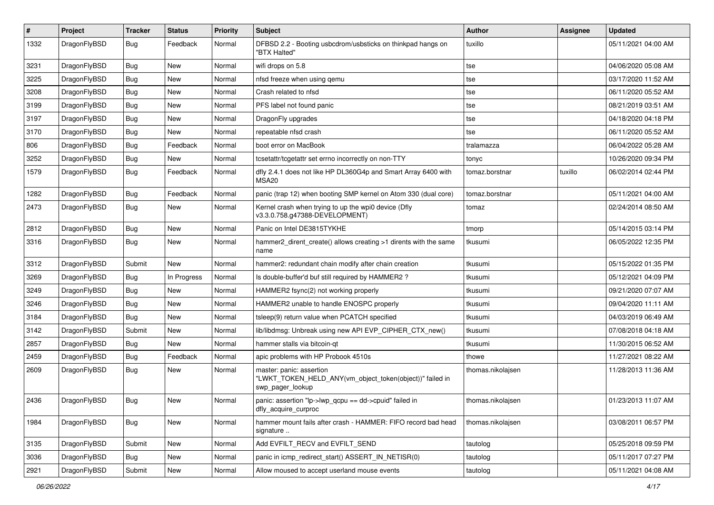| $\sharp$ | Project      | <b>Tracker</b> | <b>Status</b> | <b>Priority</b> | Subject                                                                                                  | <b>Author</b>     | Assignee | <b>Updated</b>      |
|----------|--------------|----------------|---------------|-----------------|----------------------------------------------------------------------------------------------------------|-------------------|----------|---------------------|
| 1332     | DragonFlyBSD | Bug            | Feedback      | Normal          | DFBSD 2.2 - Booting usbcdrom/usbsticks on thinkpad hangs on<br>"BTX Halted"                              | tuxillo           |          | 05/11/2021 04:00 AM |
| 3231     | DragonFlyBSD | Bug            | <b>New</b>    | Normal          | wifi drops on 5.8                                                                                        | tse               |          | 04/06/2020 05:08 AM |
| 3225     | DragonFlyBSD | <b>Bug</b>     | New           | Normal          | nfsd freeze when using gemu                                                                              | tse               |          | 03/17/2020 11:52 AM |
| 3208     | DragonFlyBSD | Bug            | <b>New</b>    | Normal          | Crash related to nfsd                                                                                    | tse               |          | 06/11/2020 05:52 AM |
| 3199     | DragonFlyBSD | <b>Bug</b>     | New           | Normal          | PFS label not found panic                                                                                | tse               |          | 08/21/2019 03:51 AM |
| 3197     | DragonFlyBSD | <b>Bug</b>     | <b>New</b>    | Normal          | DragonFly upgrades                                                                                       | tse               |          | 04/18/2020 04:18 PM |
| 3170     | DragonFlyBSD | <b>Bug</b>     | New           | Normal          | repeatable nfsd crash                                                                                    | tse               |          | 06/11/2020 05:52 AM |
| 806      | DragonFlyBSD | <b>Bug</b>     | Feedback      | Normal          | boot error on MacBook                                                                                    | tralamazza        |          | 06/04/2022 05:28 AM |
| 3252     | DragonFlyBSD | <b>Bug</b>     | <b>New</b>    | Normal          | tcsetattr/tcgetattr set errno incorrectly on non-TTY                                                     | tonyc             |          | 10/26/2020 09:34 PM |
| 1579     | DragonFlyBSD | <b>Bug</b>     | Feedback      | Normal          | dfly 2.4.1 does not like HP DL360G4p and Smart Array 6400 with<br>MSA <sub>20</sub>                      | tomaz.borstnar    | tuxillo  | 06/02/2014 02:44 PM |
| 1282     | DragonFlyBSD | <b>Bug</b>     | Feedback      | Normal          | panic (trap 12) when booting SMP kernel on Atom 330 (dual core)                                          | tomaz.borstnar    |          | 05/11/2021 04:00 AM |
| 2473     | DragonFlyBSD | <b>Bug</b>     | New           | Normal          | Kernel crash when trying to up the wpi0 device (Dfly<br>v3.3.0.758.g47388-DEVELOPMENT)                   | tomaz             |          | 02/24/2014 08:50 AM |
| 2812     | DragonFlyBSD | Bug            | <b>New</b>    | Normal          | Panic on Intel DE3815TYKHE                                                                               | tmorp             |          | 05/14/2015 03:14 PM |
| 3316     | DragonFlyBSD | <b>Bug</b>     | New           | Normal          | hammer2_dirent_create() allows creating >1 dirents with the same<br>name                                 | tkusumi           |          | 06/05/2022 12:35 PM |
| 3312     | DragonFlyBSD | Submit         | <b>New</b>    | Normal          | hammer2: redundant chain modify after chain creation                                                     | tkusumi           |          | 05/15/2022 01:35 PM |
| 3269     | DragonFlyBSD | <b>Bug</b>     | In Progress   | Normal          | Is double-buffer'd buf still required by HAMMER2 ?                                                       | tkusumi           |          | 05/12/2021 04:09 PM |
| 3249     | DragonFlyBSD | <b>Bug</b>     | <b>New</b>    | Normal          | HAMMER2 fsync(2) not working properly                                                                    | tkusumi           |          | 09/21/2020 07:07 AM |
| 3246     | DragonFlyBSD | <b>Bug</b>     | New           | Normal          | HAMMER2 unable to handle ENOSPC properly                                                                 | tkusumi           |          | 09/04/2020 11:11 AM |
| 3184     | DragonFlyBSD | <b>Bug</b>     | <b>New</b>    | Normal          | tsleep(9) return value when PCATCH specified                                                             | tkusumi           |          | 04/03/2019 06:49 AM |
| 3142     | DragonFlyBSD | Submit         | New           | Normal          | lib/libdmsg: Unbreak using new API EVP_CIPHER_CTX_new()                                                  | tkusumi           |          | 07/08/2018 04:18 AM |
| 2857     | DragonFlyBSD | <b>Bug</b>     | New           | Normal          | hammer stalls via bitcoin-qt                                                                             | tkusumi           |          | 11/30/2015 06:52 AM |
| 2459     | DragonFlyBSD | <b>Bug</b>     | Feedback      | Normal          | apic problems with HP Probook 4510s                                                                      | thowe             |          | 11/27/2021 08:22 AM |
| 2609     | DragonFlyBSD | <b>Bug</b>     | New           | Normal          | master: panic: assertion<br>"LWKT_TOKEN_HELD_ANY(vm_object_token(object))" failed in<br>swp_pager_lookup | thomas.nikolajsen |          | 11/28/2013 11:36 AM |
| 2436     | DragonFlyBSD | Bug            | New           | Normal          | panic: assertion " $lp$ -> $lwp$ gcpu == dd->cpuid" failed in<br>dfly_acquire_curproc                    | thomas.nikolaisen |          | 01/23/2013 11:07 AM |
| 1984     | DragonFlyBSD | <b>Bug</b>     | New           | Normal          | hammer mount fails after crash - HAMMER: FIFO record bad head<br>signature                               | thomas.nikolajsen |          | 03/08/2011 06:57 PM |
| 3135     | DragonFlyBSD | Submit         | New           | Normal          | Add EVFILT_RECV and EVFILT_SEND                                                                          | tautolog          |          | 05/25/2018 09:59 PM |
| 3036     | DragonFlyBSD | Bug            | New           | Normal          | panic in icmp_redirect_start() ASSERT_IN_NETISR(0)                                                       | tautolog          |          | 05/11/2017 07:27 PM |
| 2921     | DragonFlyBSD | Submit         | New           | Normal          | Allow moused to accept userland mouse events                                                             | tautolog          |          | 05/11/2021 04:08 AM |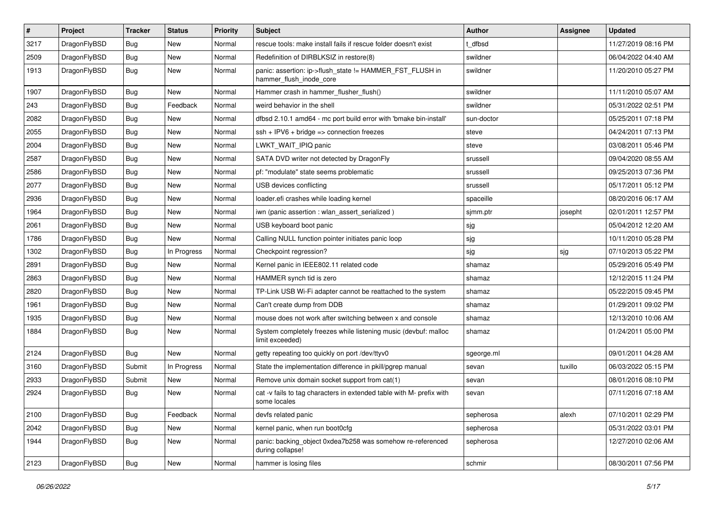| $\pmb{\#}$ | Project      | <b>Tracker</b> | <b>Status</b> | <b>Priority</b> | Subject                                                                              | Author     | <b>Assignee</b> | <b>Updated</b>      |
|------------|--------------|----------------|---------------|-----------------|--------------------------------------------------------------------------------------|------------|-----------------|---------------------|
| 3217       | DragonFlyBSD | Bug            | <b>New</b>    | Normal          | rescue tools: make install fails if rescue folder doesn't exist                      | dfbsd      |                 | 11/27/2019 08:16 PM |
| 2509       | DragonFlyBSD | Bug            | <b>New</b>    | Normal          | Redefinition of DIRBLKSIZ in restore(8)                                              | swildner   |                 | 06/04/2022 04:40 AM |
| 1913       | DragonFlyBSD | Bug            | New           | Normal          | panic: assertion: ip->flush_state != HAMMER_FST_FLUSH in<br>hammer_flush_inode_core  | swildner   |                 | 11/20/2010 05:27 PM |
| 1907       | DragonFlyBSD | Bug            | <b>New</b>    | Normal          | Hammer crash in hammer_flusher_flush()                                               | swildner   |                 | 11/11/2010 05:07 AM |
| 243        | DragonFlyBSD | Bug            | Feedback      | Normal          | weird behavior in the shell                                                          | swildner   |                 | 05/31/2022 02:51 PM |
| 2082       | DragonFlyBSD | Bug            | New           | Normal          | dfbsd 2.10.1 amd64 - mc port build error with 'bmake bin-install'                    | sun-doctor |                 | 05/25/2011 07:18 PM |
| 2055       | DragonFlyBSD | Bug            | New           | Normal          | $ssh + IPV6 + bridge \Rightarrow connection freezes$                                 | steve      |                 | 04/24/2011 07:13 PM |
| 2004       | DragonFlyBSD | Bug            | <b>New</b>    | Normal          | LWKT_WAIT_IPIQ panic                                                                 | steve      |                 | 03/08/2011 05:46 PM |
| 2587       | DragonFlyBSD | Bug            | <b>New</b>    | Normal          | SATA DVD writer not detected by DragonFly                                            | srussell   |                 | 09/04/2020 08:55 AM |
| 2586       | DragonFlyBSD | Bug            | New           | Normal          | pf: "modulate" state seems problematic                                               | srussell   |                 | 09/25/2013 07:36 PM |
| 2077       | DragonFlyBSD | Bug            | <b>New</b>    | Normal          | USB devices conflicting                                                              | srussell   |                 | 05/17/2011 05:12 PM |
| 2936       | DragonFlyBSD | Bug            | New           | Normal          | loader.efi crashes while loading kernel                                              | spaceille  |                 | 08/20/2016 06:17 AM |
| 1964       | DragonFlyBSD | Bug            | <b>New</b>    | Normal          | iwn (panic assertion : wlan_assert_serialized)                                       | sjmm.ptr   | josepht         | 02/01/2011 12:57 PM |
| 2061       | DragonFlyBSD | Bug            | <b>New</b>    | Normal          | USB keyboard boot panic                                                              | sjg        |                 | 05/04/2012 12:20 AM |
| 1786       | DragonFlyBSD | Bug            | New           | Normal          | Calling NULL function pointer initiates panic loop                                   | sjg        |                 | 10/11/2010 05:28 PM |
| 1302       | DragonFlyBSD | Bug            | In Progress   | Normal          | Checkpoint regression?                                                               | sjg        | sjg             | 07/10/2013 05:22 PM |
| 2891       | DragonFlyBSD | Bug            | <b>New</b>    | Normal          | Kernel panic in IEEE802.11 related code                                              | shamaz     |                 | 05/29/2016 05:49 PM |
| 2863       | DragonFlyBSD | Bug            | New           | Normal          | HAMMER synch tid is zero                                                             | shamaz     |                 | 12/12/2015 11:24 PM |
| 2820       | DragonFlyBSD | Bug            | <b>New</b>    | Normal          | TP-Link USB Wi-Fi adapter cannot be reattached to the system                         | shamaz     |                 | 05/22/2015 09:45 PM |
| 1961       | DragonFlyBSD | Bug            | New           | Normal          | Can't create dump from DDB                                                           | shamaz     |                 | 01/29/2011 09:02 PM |
| 1935       | DragonFlyBSD | Bug            | <b>New</b>    | Normal          | mouse does not work after switching between x and console                            | shamaz     |                 | 12/13/2010 10:06 AM |
| 1884       | DragonFlyBSD | Bug            | New           | Normal          | System completely freezes while listening music (devbuf: malloc<br>limit exceeded)   | shamaz     |                 | 01/24/2011 05:00 PM |
| 2124       | DragonFlyBSD | Bug            | <b>New</b>    | Normal          | getty repeating too quickly on port /dev/ttyv0                                       | sgeorge.ml |                 | 09/01/2011 04:28 AM |
| 3160       | DragonFlyBSD | Submit         | In Progress   | Normal          | State the implementation difference in pkill/pgrep manual                            | sevan      | tuxillo         | 06/03/2022 05:15 PM |
| 2933       | DragonFlyBSD | Submit         | New           | Normal          | Remove unix domain socket support from cat(1)                                        | sevan      |                 | 08/01/2016 08:10 PM |
| 2924       | DragonFlyBSD | Bug            | <b>New</b>    | Normal          | cat -v fails to tag characters in extended table with M- prefix with<br>some locales | sevan      |                 | 07/11/2016 07:18 AM |
| 2100       | DragonFlyBSD | <b>Bug</b>     | Feedback      | Normal          | devfs related panic                                                                  | sepherosa  | alexh           | 07/10/2011 02:29 PM |
| 2042       | DragonFlyBSD | Bug            | New           | Normal          | kernel panic, when run boot0cfg                                                      | sepherosa  |                 | 05/31/2022 03:01 PM |
| 1944       | DragonFlyBSD | Bug            | New           | Normal          | panic: backing_object 0xdea7b258 was somehow re-referenced<br>during collapse!       | sepherosa  |                 | 12/27/2010 02:06 AM |
| 2123       | DragonFlyBSD | <b>Bug</b>     | New           | Normal          | hammer is losing files                                                               | schmir     |                 | 08/30/2011 07:56 PM |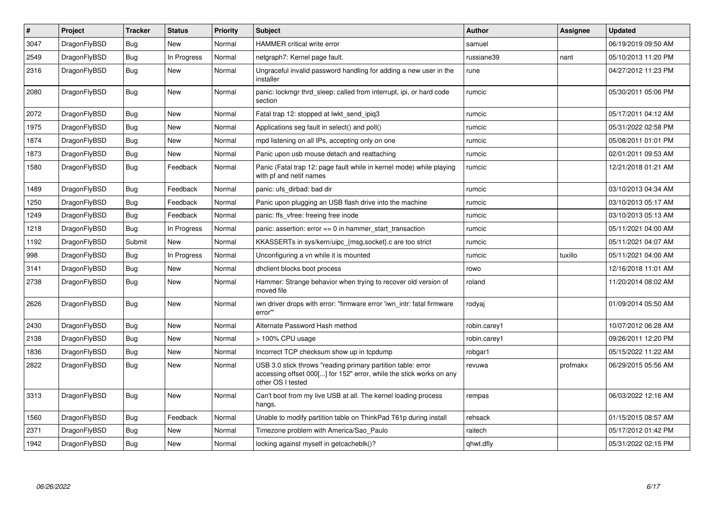| $\vert$ # | Project      | <b>Tracker</b> | <b>Status</b> | <b>Priority</b> | <b>Subject</b>                                                                                                                                           | <b>Author</b> | Assignee | <b>Updated</b>      |
|-----------|--------------|----------------|---------------|-----------------|----------------------------------------------------------------------------------------------------------------------------------------------------------|---------------|----------|---------------------|
| 3047      | DragonFlyBSD | <b>Bug</b>     | <b>New</b>    | Normal          | <b>HAMMER critical write error</b>                                                                                                                       | samuel        |          | 06/19/2019 09:50 AM |
| 2549      | DragonFlyBSD | <b>Bug</b>     | In Progress   | Normal          | netgraph7: Kernel page fault.                                                                                                                            | russiane39    | nant     | 05/10/2013 11:20 PM |
| 2316      | DragonFlyBSD | <b>Bug</b>     | New           | Normal          | Ungraceful invalid password handling for adding a new user in the<br>installer                                                                           | rune          |          | 04/27/2012 11:23 PM |
| 2080      | DragonFlyBSD | Bug            | New           | Normal          | panic: lockmgr thrd sleep: called from interrupt, ipi, or hard code<br>section                                                                           | rumcic        |          | 05/30/2011 05:06 PM |
| 2072      | DragonFlyBSD | <b>Bug</b>     | <b>New</b>    | Normal          | Fatal trap 12: stopped at lwkt send ipig3                                                                                                                | rumcic        |          | 05/17/2011 04:12 AM |
| 1975      | DragonFlyBSD | Bug            | <b>New</b>    | Normal          | Applications seg fault in select() and poll()                                                                                                            | rumcic        |          | 05/31/2022 02:58 PM |
| 1874      | DragonFlyBSD | <b>Bug</b>     | New           | Normal          | mpd listening on all IPs, accepting only on one                                                                                                          | rumcic        |          | 05/08/2011 01:01 PM |
| 1873      | DragonFlyBSD | <b>Bug</b>     | <b>New</b>    | Normal          | Panic upon usb mouse detach and reattaching                                                                                                              | rumcic        |          | 02/01/2011 09:53 AM |
| 1580      | DragonFlyBSD | Bug            | Feedback      | Normal          | Panic (Fatal trap 12: page fault while in kernel mode) while playing<br>with pf and netif names                                                          | rumcic        |          | 12/21/2018 01:21 AM |
| 1489      | DragonFlyBSD | Bug            | Feedback      | Normal          | panic: ufs dirbad: bad dir                                                                                                                               | rumcic        |          | 03/10/2013 04:34 AM |
| 1250      | DragonFlyBSD | Bug            | Feedback      | Normal          | Panic upon plugging an USB flash drive into the machine                                                                                                  | rumcic        |          | 03/10/2013 05:17 AM |
| 1249      | DragonFlyBSD | <b>Bug</b>     | Feedback      | Normal          | panic: ffs vfree: freeing free inode                                                                                                                     | rumcic        |          | 03/10/2013 05:13 AM |
| 1218      | DragonFlyBSD | Bug            | In Progress   | Normal          | panic: assertion: $error == 0$ in hammer start transaction                                                                                               | rumcic        |          | 05/11/2021 04:00 AM |
| 1192      | DragonFlyBSD | Submit         | New           | Normal          | KKASSERTs in sys/kern/uipc_{msg,socket}.c are too strict                                                                                                 | rumcic        |          | 05/11/2021 04:07 AM |
| 998       | DragonFlyBSD | <b>Bug</b>     | In Progress   | Normal          | Unconfiguring a vn while it is mounted                                                                                                                   | rumcic        | tuxillo  | 05/11/2021 04:00 AM |
| 3141      | DragonFlyBSD | Bug            | New           | Normal          | dhclient blocks boot process                                                                                                                             | rowo          |          | 12/16/2018 11:01 AM |
| 2738      | DragonFlyBSD | Bug            | New           | Normal          | Hammer: Strange behavior when trying to recover old version of<br>moved file                                                                             | roland        |          | 11/20/2014 08:02 AM |
| 2626      | DragonFlyBSD | Bug            | <b>New</b>    | Normal          | iwn driver drops with error: "firmware error 'iwn intr: fatal firmware<br>error"                                                                         | rodyaj        |          | 01/09/2014 05:50 AM |
| 2430      | DragonFlyBSD | <b>Bug</b>     | <b>New</b>    | Normal          | Alternate Password Hash method                                                                                                                           | robin.carey1  |          | 10/07/2012 06:28 AM |
| 2138      | DragonFlyBSD | <b>Bug</b>     | <b>New</b>    | Normal          | > 100% CPU usage                                                                                                                                         | robin.carey1  |          | 09/26/2011 12:20 PM |
| 1836      | DragonFlyBSD | <b>Bug</b>     | New           | Normal          | Incorrect TCP checksum show up in tcpdump                                                                                                                | robgar1       |          | 05/15/2022 11:22 AM |
| 2822      | DragonFlyBSD | Bug            | <b>New</b>    | Normal          | USB 3.0 stick throws "reading primary partition table: error<br>accessing offset 000[] for 152" error, while the stick works on any<br>other OS I tested | revuwa        | profmakx | 06/29/2015 05:56 AM |
| 3313      | DragonFlyBSD | <b>Bug</b>     | <b>New</b>    | Normal          | Can't boot from my live USB at all. The kernel loading process<br>hangs.                                                                                 | rempas        |          | 06/03/2022 12:16 AM |
| 1560      | DragonFlyBSD | <b>Bug</b>     | Feedback      | Normal          | Unable to modify partition table on ThinkPad T61p during install                                                                                         | rehsack       |          | 01/15/2015 08:57 AM |
| 2371      | DragonFlyBSD | Bug            | New           | Normal          | Timezone problem with America/Sao Paulo                                                                                                                  | raitech       |          | 05/17/2012 01:42 PM |
| 1942      | DragonFlyBSD | <b>Bug</b>     | New           | Normal          | locking against myself in getcacheblk()?                                                                                                                 | qhwt.dfly     |          | 05/31/2022 02:15 PM |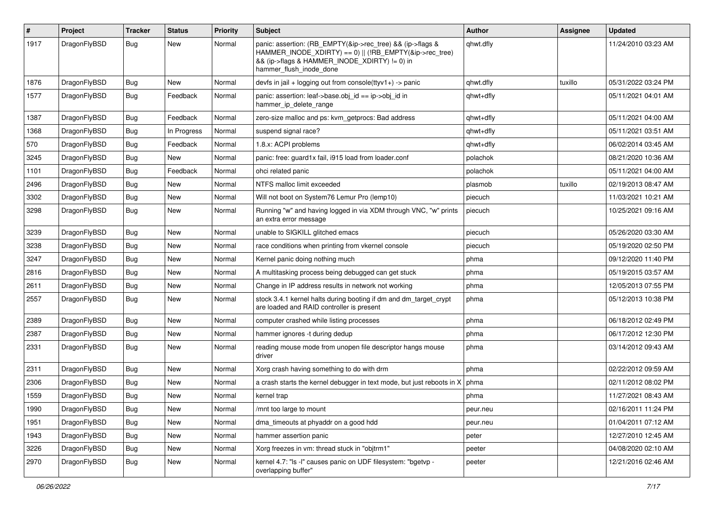| $\pmb{\#}$ | Project      | <b>Tracker</b> | <b>Status</b> | <b>Priority</b> | <b>Subject</b>                                                                                                                                                                                    | Author    | Assignee | <b>Updated</b>      |
|------------|--------------|----------------|---------------|-----------------|---------------------------------------------------------------------------------------------------------------------------------------------------------------------------------------------------|-----------|----------|---------------------|
| 1917       | DragonFlyBSD | Bug            | New           | Normal          | panic: assertion: (RB_EMPTY(&ip->rec_tree) && (ip->flags &<br>HAMMER INODE XDIRTY) == 0)    (!RB EMPTY(&ip->rec tree)<br>&& (ip->flags & HAMMER_INODE_XDIRTY) != 0) in<br>hammer flush inode done | qhwt.dfly |          | 11/24/2010 03:23 AM |
| 1876       | DragonFlyBSD | Bug            | <b>New</b>    | Normal          | devfs in jail + logging out from console(ttyv1+) -> panic                                                                                                                                         | qhwt.dfly | tuxillo  | 05/31/2022 03:24 PM |
| 1577       | DragonFlyBSD | Bug            | Feedback      | Normal          | panic: assertion: leaf->base.obj id == ip->obj id in<br>hammer_ip_delete_range                                                                                                                    | qhwt+dfly |          | 05/11/2021 04:01 AM |
| 1387       | DragonFlyBSD | Bug            | Feedback      | Normal          | zero-size malloc and ps: kvm_getprocs: Bad address                                                                                                                                                | qhwt+dfly |          | 05/11/2021 04:00 AM |
| 1368       | DragonFlyBSD | Bug            | In Progress   | Normal          | suspend signal race?                                                                                                                                                                              | qhwt+dfly |          | 05/11/2021 03:51 AM |
| 570        | DragonFlyBSD | Bug            | Feedback      | Normal          | 1.8.x: ACPI problems                                                                                                                                                                              | qhwt+dfly |          | 06/02/2014 03:45 AM |
| 3245       | DragonFlyBSD | Bug            | New           | Normal          | panic: free: guard1x fail, i915 load from loader.conf                                                                                                                                             | polachok  |          | 08/21/2020 10:36 AM |
| 1101       | DragonFlyBSD | Bug            | Feedback      | Normal          | ohci related panic                                                                                                                                                                                | polachok  |          | 05/11/2021 04:00 AM |
| 2496       | DragonFlyBSD | Bug            | <b>New</b>    | Normal          | NTFS malloc limit exceeded                                                                                                                                                                        | plasmob   | tuxillo  | 02/19/2013 08:47 AM |
| 3302       | DragonFlyBSD | Bug            | New           | Normal          | Will not boot on System76 Lemur Pro (lemp10)                                                                                                                                                      | piecuch   |          | 11/03/2021 10:21 AM |
| 3298       | DragonFlyBSD | Bug            | <b>New</b>    | Normal          | Running "w" and having logged in via XDM through VNC, "w" prints<br>an extra error message                                                                                                        | piecuch   |          | 10/25/2021 09:16 AM |
| 3239       | DragonFlyBSD | Bug            | <b>New</b>    | Normal          | unable to SIGKILL glitched emacs                                                                                                                                                                  | piecuch   |          | 05/26/2020 03:30 AM |
| 3238       | DragonFlyBSD | <b>Bug</b>     | New           | Normal          | race conditions when printing from vkernel console                                                                                                                                                | piecuch   |          | 05/19/2020 02:50 PM |
| 3247       | DragonFlyBSD | Bug            | <b>New</b>    | Normal          | Kernel panic doing nothing much                                                                                                                                                                   | phma      |          | 09/12/2020 11:40 PM |
| 2816       | DragonFlyBSD | Bug            | <b>New</b>    | Normal          | A multitasking process being debugged can get stuck                                                                                                                                               | phma      |          | 05/19/2015 03:57 AM |
| 2611       | DragonFlyBSD | <b>Bug</b>     | <b>New</b>    | Normal          | Change in IP address results in network not working                                                                                                                                               | phma      |          | 12/05/2013 07:55 PM |
| 2557       | DragonFlyBSD | Bug            | New           | Normal          | stock 3.4.1 kernel halts during booting if dm and dm_target_crypt<br>are loaded and RAID controller is present                                                                                    | phma      |          | 05/12/2013 10:38 PM |
| 2389       | DragonFlyBSD | Bug            | New           | Normal          | computer crashed while listing processes                                                                                                                                                          | phma      |          | 06/18/2012 02:49 PM |
| 2387       | DragonFlyBSD | Bug            | <b>New</b>    | Normal          | hammer ignores -t during dedup                                                                                                                                                                    | phma      |          | 06/17/2012 12:30 PM |
| 2331       | DragonFlyBSD | Bug            | New           | Normal          | reading mouse mode from unopen file descriptor hangs mouse<br>driver                                                                                                                              | phma      |          | 03/14/2012 09:43 AM |
| 2311       | DragonFlyBSD | Bug            | New           | Normal          | Xorg crash having something to do with drm                                                                                                                                                        | phma      |          | 02/22/2012 09:59 AM |
| 2306       | DragonFlyBSD | Bug            | <b>New</b>    | Normal          | a crash starts the kernel debugger in text mode, but just reboots in X                                                                                                                            | phma      |          | 02/11/2012 08:02 PM |
| 1559       | DragonFlyBSD | Bug            | New           | Normal          | kernel trap                                                                                                                                                                                       | phma      |          | 11/27/2021 08:43 AM |
| 1990       | DragonFlyBSD | Bug            | New           | Normal          | /mnt too large to mount                                                                                                                                                                           | peur.neu  |          | 02/16/2011 11:24 PM |
| 1951       | DragonFlyBSD | Bug            | New           | Normal          | dma_timeouts at phyaddr on a good hdd                                                                                                                                                             | peur.neu  |          | 01/04/2011 07:12 AM |
| 1943       | DragonFlyBSD | <b>Bug</b>     | New           | Normal          | hammer assertion panic                                                                                                                                                                            | peter     |          | 12/27/2010 12:45 AM |
| 3226       | DragonFlyBSD | Bug            | New           | Normal          | Xorg freezes in vm: thread stuck in "objtrm1"                                                                                                                                                     | peeter    |          | 04/08/2020 02:10 AM |
| 2970       | DragonFlyBSD | <b>Bug</b>     | New           | Normal          | kernel 4.7: "Is -I" causes panic on UDF filesystem: "bgetvp -<br>overlapping buffer"                                                                                                              | peeter    |          | 12/21/2016 02:46 AM |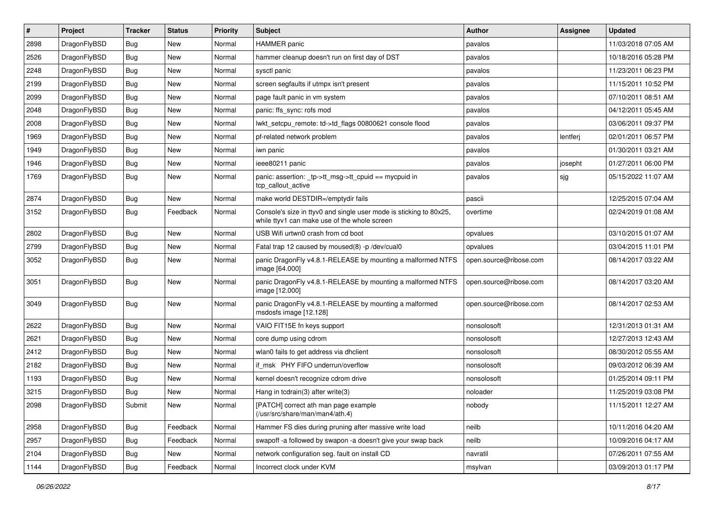| $\pmb{\#}$ | Project      | <b>Tracker</b> | <b>Status</b> | <b>Priority</b> | Subject                                                                                                            | Author                 | <b>Assignee</b> | <b>Updated</b>      |
|------------|--------------|----------------|---------------|-----------------|--------------------------------------------------------------------------------------------------------------------|------------------------|-----------------|---------------------|
| 2898       | DragonFlyBSD | Bug            | <b>New</b>    | Normal          | <b>HAMMER</b> panic                                                                                                | pavalos                |                 | 11/03/2018 07:05 AM |
| 2526       | DragonFlyBSD | Bug            | <b>New</b>    | Normal          | hammer cleanup doesn't run on first day of DST                                                                     | pavalos                |                 | 10/18/2016 05:28 PM |
| 2248       | DragonFlyBSD | <b>Bug</b>     | New           | Normal          | sysctl panic                                                                                                       | pavalos                |                 | 11/23/2011 06:23 PM |
| 2199       | DragonFlyBSD | Bug            | New           | Normal          | screen segfaults if utmpx isn't present                                                                            | pavalos                |                 | 11/15/2011 10:52 PM |
| 2099       | DragonFlyBSD | Bug            | <b>New</b>    | Normal          | page fault panic in vm system                                                                                      | pavalos                |                 | 07/10/2011 08:51 AM |
| 2048       | DragonFlyBSD | Bug            | <b>New</b>    | Normal          | panic: ffs sync: rofs mod                                                                                          | pavalos                |                 | 04/12/2011 05:45 AM |
| 2008       | DragonFlyBSD | Bug            | New           | Normal          | lwkt_setcpu_remote: td->td_flags 00800621 console flood                                                            | pavalos                |                 | 03/06/2011 09:37 PM |
| 1969       | DragonFlyBSD | Bug            | New           | Normal          | pf-related network problem                                                                                         | pavalos                | lentferj        | 02/01/2011 06:57 PM |
| 1949       | DragonFlyBSD | Bug            | New           | Normal          | iwn panic                                                                                                          | pavalos                |                 | 01/30/2011 03:21 AM |
| 1946       | DragonFlyBSD | Bug            | <b>New</b>    | Normal          | ieee80211 panic                                                                                                    | pavalos                | josepht         | 01/27/2011 06:00 PM |
| 1769       | DragonFlyBSD | <b>Bug</b>     | New           | Normal          | panic: assertion: tp->tt_msg->tt_cpuid == mycpuid in<br>tcp callout active                                         | pavalos                | sjg             | 05/15/2022 11:07 AM |
| 2874       | DragonFlyBSD | Bug            | New           | Normal          | make world DESTDIR=/emptydir fails                                                                                 | pascii                 |                 | 12/25/2015 07:04 AM |
| 3152       | DragonFlyBSD | Bug            | Feedback      | Normal          | Console's size in ttyv0 and single user mode is sticking to 80x25,<br>while ttyv1 can make use of the whole screen | overtime               |                 | 02/24/2019 01:08 AM |
| 2802       | DragonFlyBSD | <b>Bug</b>     | <b>New</b>    | Normal          | USB Wifi urtwn0 crash from cd boot                                                                                 | opvalues               |                 | 03/10/2015 01:07 AM |
| 2799       | DragonFlyBSD | Bug            | <b>New</b>    | Normal          | Fatal trap 12 caused by moused(8) -p/dev/cual0                                                                     | opvalues               |                 | 03/04/2015 11:01 PM |
| 3052       | DragonFlyBSD | Bug            | <b>New</b>    | Normal          | panic DragonFly v4.8.1-RELEASE by mounting a malformed NTFS<br>image [64.000]                                      | open.source@ribose.com |                 | 08/14/2017 03:22 AM |
| 3051       | DragonFlyBSD | Bug            | New           | Normal          | panic DragonFly v4.8.1-RELEASE by mounting a malformed NTFS<br>image [12.000]                                      | open.source@ribose.com |                 | 08/14/2017 03:20 AM |
| 3049       | DragonFlyBSD | Bug            | <b>New</b>    | Normal          | panic DragonFly v4.8.1-RELEASE by mounting a malformed<br>msdosfs image [12.128]                                   | open.source@ribose.com |                 | 08/14/2017 02:53 AM |
| 2622       | DragonFlyBSD | <b>Bug</b>     | <b>New</b>    | Normal          | VAIO FIT15E fn keys support                                                                                        | nonsolosoft            |                 | 12/31/2013 01:31 AM |
| 2621       | DragonFlyBSD | Bug            | <b>New</b>    | Normal          | core dump using cdrom                                                                                              | nonsolosoft            |                 | 12/27/2013 12:43 AM |
| 2412       | DragonFlyBSD | Bug            | <b>New</b>    | Normal          | wlan0 fails to get address via dhclient                                                                            | nonsolosoft            |                 | 08/30/2012 05:55 AM |
| 2182       | DragonFlyBSD | Bug            | New           | Normal          | if msk PHY FIFO underrun/overflow                                                                                  | nonsolosoft            |                 | 09/03/2012 06:39 AM |
| 1193       | DragonFlyBSD | Bug            | <b>New</b>    | Normal          | kernel doesn't recognize cdrom drive                                                                               | nonsolosoft            |                 | 01/25/2014 09:11 PM |
| 3215       | DragonFlyBSD | Bug            | <b>New</b>    | Normal          | Hang in todrain(3) after write(3)                                                                                  | noloader               |                 | 11/25/2019 03:08 PM |
| 2098       | DragonFlyBSD | Submit         | New           | Normal          | [PATCH] correct ath man page example<br>(/usr/src/share/man/man4/ath.4)                                            | nobody                 |                 | 11/15/2011 12:27 AM |
| 2958       | DragonFlyBSD | Bug            | Feedback      | Normal          | Hammer FS dies during pruning after massive write load                                                             | neilb                  |                 | 10/11/2016 04:20 AM |
| 2957       | DragonFlyBSD | <b>Bug</b>     | Feedback      | Normal          | swapoff -a followed by swapon -a doesn't give your swap back                                                       | neilb                  |                 | 10/09/2016 04:17 AM |
| 2104       | DragonFlyBSD | Bug            | New           | Normal          | network configuration seg. fault on install CD                                                                     | navratil               |                 | 07/26/2011 07:55 AM |
| 1144       | DragonFlyBSD | Bug            | Feedback      | Normal          | Incorrect clock under KVM                                                                                          | msylvan                |                 | 03/09/2013 01:17 PM |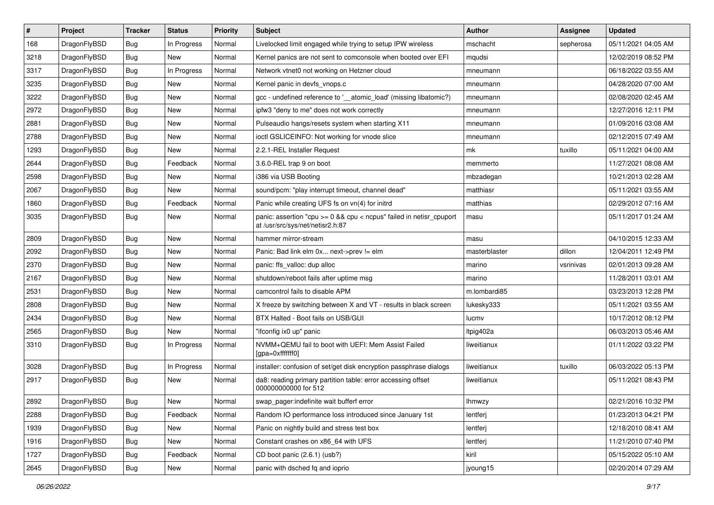| $\pmb{\#}$ | Project      | <b>Tracker</b> | <b>Status</b> | <b>Priority</b> | Subject                                                                                                 | Author        | <b>Assignee</b> | <b>Updated</b>      |
|------------|--------------|----------------|---------------|-----------------|---------------------------------------------------------------------------------------------------------|---------------|-----------------|---------------------|
| 168        | DragonFlyBSD | <b>Bug</b>     | In Progress   | Normal          | Livelocked limit engaged while trying to setup IPW wireless                                             | mschacht      | sepherosa       | 05/11/2021 04:05 AM |
| 3218       | DragonFlyBSD | Bug            | New           | Normal          | Kernel panics are not sent to comconsole when booted over EFI                                           | mqudsi        |                 | 12/02/2019 08:52 PM |
| 3317       | DragonFlyBSD | Bug            | In Progress   | Normal          | Network vtnet0 not working on Hetzner cloud                                                             | mneumann      |                 | 06/18/2022 03:55 AM |
| 3235       | DragonFlyBSD | Bug            | New           | Normal          | Kernel panic in devfs_vnops.c                                                                           | mneumann      |                 | 04/28/2020 07:00 AM |
| 3222       | DragonFlyBSD | Bug            | <b>New</b>    | Normal          | gcc - undefined reference to '__atomic_load' (missing libatomic?)                                       | mneumann      |                 | 02/08/2020 02:45 AM |
| 2972       | DragonFlyBSD | Bug            | New           | Normal          | ipfw3 "deny to me" does not work correctly                                                              | mneumann      |                 | 12/27/2016 12:11 PM |
| 2881       | DragonFlyBSD | Bug            | New           | Normal          | Pulseaudio hangs/resets system when starting X11                                                        | mneumann      |                 | 01/09/2016 03:08 AM |
| 2788       | DragonFlyBSD | Bug            | <b>New</b>    | Normal          | ioctl GSLICEINFO: Not working for vnode slice                                                           | mneumann      |                 | 02/12/2015 07:49 AM |
| 1293       | DragonFlyBSD | Bug            | New           | Normal          | 2.2.1-REL Installer Request                                                                             | mk            | tuxillo         | 05/11/2021 04:00 AM |
| 2644       | DragonFlyBSD | Bug            | Feedback      | Normal          | 3.6.0-REL trap 9 on boot                                                                                | memmerto      |                 | 11/27/2021 08:08 AM |
| 2598       | DragonFlyBSD | <b>Bug</b>     | New           | Normal          | i386 via USB Booting                                                                                    | mbzadegan     |                 | 10/21/2013 02:28 AM |
| 2067       | DragonFlyBSD | Bug            | New           | Normal          | sound/pcm: "play interrupt timeout, channel dead"                                                       | matthiasr     |                 | 05/11/2021 03:55 AM |
| 1860       | DragonFlyBSD | <b>Bug</b>     | Feedback      | Normal          | Panic while creating UFS fs on vn(4) for initrd                                                         | matthias      |                 | 02/29/2012 07:16 AM |
| 3035       | DragonFlyBSD | Bug            | <b>New</b>    | Normal          | panic: assertion "cpu >= 0 && cpu < ncpus" failed in netisr_cpuport<br>at /usr/src/sys/net/netisr2.h:87 | masu          |                 | 05/11/2017 01:24 AM |
| 2809       | DragonFlyBSD | <b>Bug</b>     | <b>New</b>    | Normal          | hammer mirror-stream                                                                                    | masu          |                 | 04/10/2015 12:33 AM |
| 2092       | DragonFlyBSD | Bug            | <b>New</b>    | Normal          | Panic: Bad link elm 0x next->prev != elm                                                                | masterblaster | dillon          | 12/04/2011 12:49 PM |
| 2370       | DragonFlyBSD | <b>Bug</b>     | <b>New</b>    | Normal          | panic: ffs_valloc: dup alloc                                                                            | marino        | vsrinivas       | 02/01/2013 09:28 AM |
| 2167       | DragonFlyBSD | Bug            | New           | Normal          | shutdown/reboot fails after uptime msg                                                                  | marino        |                 | 11/28/2011 03:01 AM |
| 2531       | DragonFlyBSD | Bug            | <b>New</b>    | Normal          | camcontrol fails to disable APM                                                                         | m.lombardi85  |                 | 03/23/2013 12:28 PM |
| 2808       | DragonFlyBSD | Bug            | New           | Normal          | X freeze by switching between X and VT - results in black screen                                        | lukesky333    |                 | 05/11/2021 03:55 AM |
| 2434       | DragonFlyBSD | Bug            | New           | Normal          | BTX Halted - Boot fails on USB/GUI                                                                      | lucmv         |                 | 10/17/2012 08:12 PM |
| 2565       | DragonFlyBSD | Bug            | New           | Normal          | "ifconfig ix0 up" panic                                                                                 | Itpig402a     |                 | 06/03/2013 05:46 AM |
| 3310       | DragonFlyBSD | Bug            | In Progress   | Normal          | NVMM+QEMU fail to boot with UEFI: Mem Assist Failed<br>[gpa=0xfffffff0]                                 | liweitianux   |                 | 01/11/2022 03:22 PM |
| 3028       | DragonFlyBSD | <b>Bug</b>     | In Progress   | Normal          | installer: confusion of set/get disk encryption passphrase dialogs                                      | liweitianux   | tuxillo         | 06/03/2022 05:13 PM |
| 2917       | DragonFlyBSD | Bug            | New           | Normal          | da8: reading primary partition table: error accessing offset<br>000000000000 for 512                    | liweitianux   |                 | 05/11/2021 08:43 PM |
| 2892       | DragonFlyBSD | Bug            | New           | Normal          | swap_pager:indefinite wait bufferf error                                                                | lhmwzy        |                 | 02/21/2016 10:32 PM |
| 2288       | DragonFlyBSD | <b>Bug</b>     | Feedback      | Normal          | Random IO performance loss introduced since January 1st                                                 | lentferj      |                 | 01/23/2013 04:21 PM |
| 1939       | DragonFlyBSD | Bug            | New           | Normal          | Panic on nightly build and stress test box                                                              | lentferj      |                 | 12/18/2010 08:41 AM |
| 1916       | DragonFlyBSD | Bug            | New           | Normal          | Constant crashes on x86_64 with UFS                                                                     | lentferj      |                 | 11/21/2010 07:40 PM |
| 1727       | DragonFlyBSD | Bug            | Feedback      | Normal          | CD boot panic (2.6.1) (usb?)                                                                            | kiril         |                 | 05/15/2022 05:10 AM |
| 2645       | DragonFlyBSD | <b>Bug</b>     | New           | Normal          | panic with dsched fq and ioprio                                                                         | jyoung15      |                 | 02/20/2014 07:29 AM |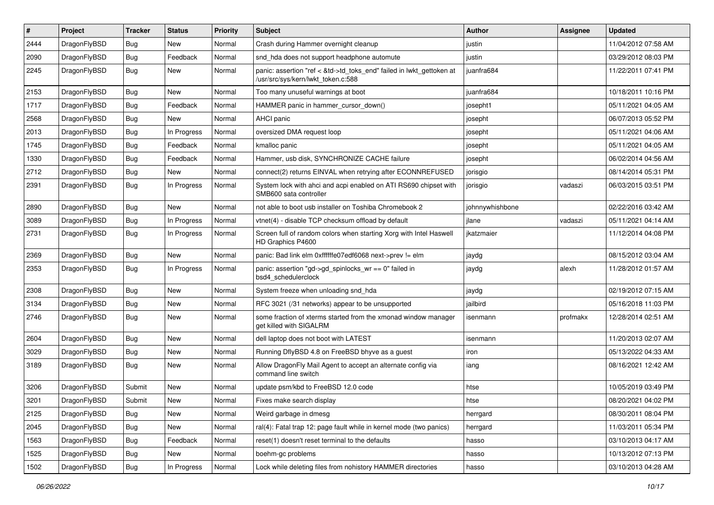| #    | Project      | <b>Tracker</b> | <b>Status</b> | <b>Priority</b> | <b>Subject</b>                                                                                             | Author          | Assignee | <b>Updated</b>      |
|------|--------------|----------------|---------------|-----------------|------------------------------------------------------------------------------------------------------------|-----------------|----------|---------------------|
| 2444 | DragonFlyBSD | <b>Bug</b>     | <b>New</b>    | Normal          | Crash during Hammer overnight cleanup                                                                      | justin          |          | 11/04/2012 07:58 AM |
| 2090 | DragonFlyBSD | <b>Bug</b>     | Feedback      | Normal          | snd_hda does not support headphone automute                                                                | justin          |          | 03/29/2012 08:03 PM |
| 2245 | DragonFlyBSD | <b>Bug</b>     | New           | Normal          | panic: assertion "ref < &td->td_toks_end" failed in lwkt_gettoken at<br>/usr/src/sys/kern/lwkt_token.c:588 | juanfra684      |          | 11/22/2011 07:41 PM |
| 2153 | DragonFlyBSD | <b>Bug</b>     | <b>New</b>    | Normal          | Too many unuseful warnings at boot                                                                         | juanfra684      |          | 10/18/2011 10:16 PM |
| 1717 | DragonFlyBSD | <b>Bug</b>     | Feedback      | Normal          | HAMMER panic in hammer cursor down()                                                                       | josepht1        |          | 05/11/2021 04:05 AM |
| 2568 | DragonFlyBSD | <b>Bug</b>     | <b>New</b>    | Normal          | AHCI panic                                                                                                 | josepht         |          | 06/07/2013 05:52 PM |
| 2013 | DragonFlyBSD | <b>Bug</b>     | In Progress   | Normal          | oversized DMA request loop                                                                                 | josepht         |          | 05/11/2021 04:06 AM |
| 1745 | DragonFlyBSD | <b>Bug</b>     | Feedback      | Normal          | kmalloc panic                                                                                              | josepht         |          | 05/11/2021 04:05 AM |
| 1330 | DragonFlyBSD | <b>Bug</b>     | Feedback      | Normal          | Hammer, usb disk, SYNCHRONIZE CACHE failure                                                                | josepht         |          | 06/02/2014 04:56 AM |
| 2712 | DragonFlyBSD | <b>Bug</b>     | New           | Normal          | connect(2) returns EINVAL when retrying after ECONNREFUSED                                                 | jorisgio        |          | 08/14/2014 05:31 PM |
| 2391 | DragonFlyBSD | <b>Bug</b>     | In Progress   | Normal          | System lock with ahci and acpi enabled on ATI RS690 chipset with<br>SMB600 sata controller                 | jorisgio        | vadaszi  | 06/03/2015 03:51 PM |
| 2890 | DragonFlyBSD | Bug            | <b>New</b>    | Normal          | not able to boot usb installer on Toshiba Chromebook 2                                                     | johnnywhishbone |          | 02/22/2016 03:42 AM |
| 3089 | DragonFlyBSD | Bug            | In Progress   | Normal          | vtnet(4) - disable TCP checksum offload by default                                                         | jlane           | vadaszi  | 05/11/2021 04:14 AM |
| 2731 | DragonFlyBSD | Bug            | In Progress   | Normal          | Screen full of random colors when starting Xorg with Intel Haswell<br>HD Graphics P4600                    | jkatzmaier      |          | 11/12/2014 04:08 PM |
| 2369 | DragonFlyBSD | <b>Bug</b>     | New           | Normal          | panic: Bad link elm 0xffffffe07edf6068 next->prev != elm                                                   | jaydg           |          | 08/15/2012 03:04 AM |
| 2353 | DragonFlyBSD | <b>Bug</b>     | In Progress   | Normal          | panic: assertion "gd->gd_spinlocks_wr == 0" failed in<br>bsd4_schedulerclock                               | jaydg           | alexh    | 11/28/2012 01:57 AM |
| 2308 | DragonFlyBSD | Bug            | <b>New</b>    | Normal          | System freeze when unloading snd_hda                                                                       | jaydg           |          | 02/19/2012 07:15 AM |
| 3134 | DragonFlyBSD | <b>Bug</b>     | <b>New</b>    | Normal          | RFC 3021 (/31 networks) appear to be unsupported                                                           | jailbird        |          | 05/16/2018 11:03 PM |
| 2746 | DragonFlyBSD | Bug            | New           | Normal          | some fraction of xterms started from the xmonad window manager<br>get killed with SIGALRM                  | isenmann        | profmakx | 12/28/2014 02:51 AM |
| 2604 | DragonFlyBSD | Bug            | <b>New</b>    | Normal          | dell laptop does not boot with LATEST                                                                      | isenmann        |          | 11/20/2013 02:07 AM |
| 3029 | DragonFlyBSD | Bug            | <b>New</b>    | Normal          | Running DflyBSD 4.8 on FreeBSD bhyve as a guest                                                            | iron            |          | 05/13/2022 04:33 AM |
| 3189 | DragonFlyBSD | Bug            | New           | Normal          | Allow DragonFly Mail Agent to accept an alternate config via<br>command line switch                        | iang            |          | 08/16/2021 12:42 AM |
| 3206 | DragonFlyBSD | Submit         | New           | Normal          | update psm/kbd to FreeBSD 12.0 code                                                                        | htse            |          | 10/05/2019 03:49 PM |
| 3201 | DragonFlyBSD | Submit         | <b>New</b>    | Normal          | Fixes make search display                                                                                  | htse            |          | 08/20/2021 04:02 PM |
| 2125 | DragonFlyBSD | <b>Bug</b>     | New           | Normal          | Weird garbage in dmesg                                                                                     | herrgard        |          | 08/30/2011 08:04 PM |
| 2045 | DragonFlyBSD | <b>Bug</b>     | New           | Normal          | ral(4): Fatal trap 12: page fault while in kernel mode (two panics)                                        | herrgard        |          | 11/03/2011 05:34 PM |
| 1563 | DragonFlyBSD | Bug            | Feedback      | Normal          | reset(1) doesn't reset terminal to the defaults                                                            | hasso           |          | 03/10/2013 04:17 AM |
| 1525 | DragonFlyBSD | <b>Bug</b>     | New           | Normal          | boehm-gc problems                                                                                          | hasso           |          | 10/13/2012 07:13 PM |
| 1502 | DragonFlyBSD | <b>Bug</b>     | In Progress   | Normal          | Lock while deleting files from nohistory HAMMER directories                                                | hasso           |          | 03/10/2013 04:28 AM |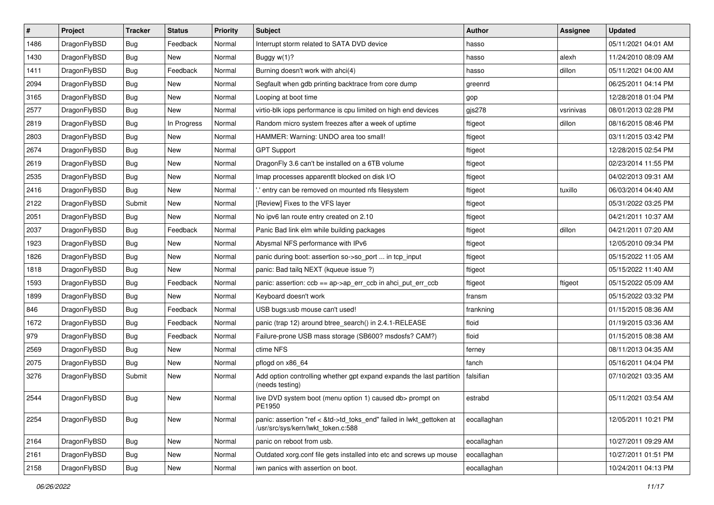| $\vert$ # | Project      | <b>Tracker</b> | <b>Status</b> | <b>Priority</b> | <b>Subject</b>                                                                                             | <b>Author</b> | <b>Assignee</b> | <b>Updated</b>      |
|-----------|--------------|----------------|---------------|-----------------|------------------------------------------------------------------------------------------------------------|---------------|-----------------|---------------------|
| 1486      | DragonFlyBSD | <b>Bug</b>     | Feedback      | Normal          | Interrupt storm related to SATA DVD device                                                                 | hasso         |                 | 05/11/2021 04:01 AM |
| 1430      | DragonFlyBSD | <b>Bug</b>     | <b>New</b>    | Normal          | Buggy w(1)?                                                                                                | hasso         | alexh           | 11/24/2010 08:09 AM |
| 1411      | DragonFlyBSD | <b>Bug</b>     | Feedback      | Normal          | Burning doesn't work with ahci(4)                                                                          | hasso         | dillon          | 05/11/2021 04:00 AM |
| 2094      | DragonFlyBSD | Bug            | <b>New</b>    | Normal          | Segfault when gdb printing backtrace from core dump                                                        | greenrd       |                 | 06/25/2011 04:14 PM |
| 3165      | DragonFlyBSD | <b>Bug</b>     | <b>New</b>    | Normal          | Looping at boot time                                                                                       | gop           |                 | 12/28/2018 01:04 PM |
| 2577      | DragonFlyBSD | Bug            | New           | Normal          | virtio-blk iops performance is cpu limited on high end devices                                             | $g$ js $278$  | vsrinivas       | 08/01/2013 02:28 PM |
| 2819      | DragonFlyBSD | Bug            | In Progress   | Normal          | Random micro system freezes after a week of uptime                                                         | ftigeot       | dillon          | 08/16/2015 08:46 PM |
| 2803      | DragonFlyBSD | <b>Bug</b>     | <b>New</b>    | Normal          | HAMMER: Warning: UNDO area too small!                                                                      | ftigeot       |                 | 03/11/2015 03:42 PM |
| 2674      | DragonFlyBSD | <b>Bug</b>     | <b>New</b>    | Normal          | <b>GPT Support</b>                                                                                         | ftigeot       |                 | 12/28/2015 02:54 PM |
| 2619      | DragonFlyBSD | <b>Bug</b>     | <b>New</b>    | Normal          | DragonFly 3.6 can't be installed on a 6TB volume                                                           | ftigeot       |                 | 02/23/2014 11:55 PM |
| 2535      | DragonFlyBSD | <b>Bug</b>     | <b>New</b>    | Normal          | Imap processes apparentlt blocked on disk I/O                                                              | ftigeot       |                 | 04/02/2013 09:31 AM |
| 2416      | DragonFlyBSD | Bug            | <b>New</b>    | Normal          | ".' entry can be removed on mounted nfs filesystem                                                         | ftigeot       | tuxillo         | 06/03/2014 04:40 AM |
| 2122      | DragonFlyBSD | Submit         | New           | Normal          | [Review] Fixes to the VFS layer                                                                            | ftigeot       |                 | 05/31/2022 03:25 PM |
| 2051      | DragonFlyBSD | Bug            | <b>New</b>    | Normal          | No ipv6 lan route entry created on 2.10                                                                    | ftigeot       |                 | 04/21/2011 10:37 AM |
| 2037      | DragonFlyBSD | <b>Bug</b>     | Feedback      | Normal          | Panic Bad link elm while building packages                                                                 | ftigeot       | dillon          | 04/21/2011 07:20 AM |
| 1923      | DragonFlyBSD | <b>Bug</b>     | <b>New</b>    | Normal          | Abysmal NFS performance with IPv6                                                                          | ftigeot       |                 | 12/05/2010 09:34 PM |
| 1826      | DragonFlyBSD | <b>Bug</b>     | <b>New</b>    | Normal          | panic during boot: assertion so->so_port  in tcp_input                                                     | ftigeot       |                 | 05/15/2022 11:05 AM |
| 1818      | DragonFlyBSD | <b>Bug</b>     | New           | Normal          | panic: Bad tailq NEXT (kqueue issue ?)                                                                     | ftigeot       |                 | 05/15/2022 11:40 AM |
| 1593      | DragonFlyBSD | <b>Bug</b>     | Feedback      | Normal          | panic: assertion: ccb == ap->ap_err_ccb in ahci_put_err_ccb                                                | ftigeot       | ftigeot         | 05/15/2022 05:09 AM |
| 1899      | DragonFlyBSD | <b>Bug</b>     | New           | Normal          | Keyboard doesn't work                                                                                      | fransm        |                 | 05/15/2022 03:32 PM |
| 846       | DragonFlyBSD | <b>Bug</b>     | Feedback      | Normal          | USB bugs:usb mouse can't used!                                                                             | frankning     |                 | 01/15/2015 08:36 AM |
| 1672      | DragonFlyBSD | <b>Bug</b>     | Feedback      | Normal          | panic (trap 12) around btree_search() in 2.4.1-RELEASE                                                     | floid         |                 | 01/19/2015 03:36 AM |
| 979       | DragonFlyBSD | <b>Bug</b>     | Feedback      | Normal          | Failure-prone USB mass storage (SB600? msdosfs? CAM?)                                                      | floid         |                 | 01/15/2015 08:38 AM |
| 2569      | DragonFlyBSD | <b>Bug</b>     | New           | Normal          | ctime NFS                                                                                                  | ferney        |                 | 08/11/2013 04:35 AM |
| 2075      | DragonFlyBSD | <b>Bug</b>     | <b>New</b>    | Normal          | pflogd on x86 64                                                                                           | fanch         |                 | 05/16/2011 04:04 PM |
| 3276      | DragonFlyBSD | Submit         | New           | Normal          | Add option controlling whether gpt expand expands the last partition<br>(needs testing)                    | falsifian     |                 | 07/10/2021 03:35 AM |
| 2544      | DragonFlyBSD | <b>Bug</b>     | New           | Normal          | live DVD system boot (menu option 1) caused db> prompt on<br>PE1950                                        | estrabd       |                 | 05/11/2021 03:54 AM |
| 2254      | DragonFlyBSD | Bug            | New           | Normal          | panic: assertion "ref < &td->td toks end" failed in lwkt gettoken at<br>/usr/src/sys/kern/lwkt_token.c:588 | eocallaghan   |                 | 12/05/2011 10:21 PM |
| 2164      | DragonFlyBSD | Bug            | New           | Normal          | panic on reboot from usb.                                                                                  | eocallaghan   |                 | 10/27/2011 09:29 AM |
| 2161      | DragonFlyBSD | Bug            | New           | Normal          | Outdated xorg.conf file gets installed into etc and screws up mouse                                        | eocallaghan   |                 | 10/27/2011 01:51 PM |
| 2158      | DragonFlyBSD | <b>Bug</b>     | New           | Normal          | iwn panics with assertion on boot.                                                                         | eocallaghan   |                 | 10/24/2011 04:13 PM |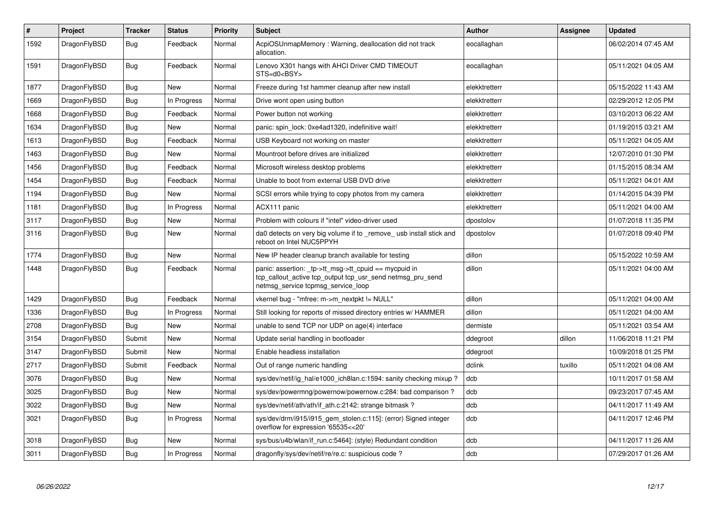| $\#$ | Project      | <b>Tracker</b> | <b>Status</b> | <b>Priority</b> | <b>Subject</b>                                                                                                                                            | <b>Author</b> | Assignee | Updated             |
|------|--------------|----------------|---------------|-----------------|-----------------------------------------------------------------------------------------------------------------------------------------------------------|---------------|----------|---------------------|
| 1592 | DragonFlyBSD | <b>Bug</b>     | Feedback      | Normal          | AcpiOSUnmapMemory: Warning, deallocation did not track<br>allocation.                                                                                     | eocallaghan   |          | 06/02/2014 07:45 AM |
| 1591 | DragonFlyBSD | <b>Bug</b>     | Feedback      | Normal          | Lenovo X301 hangs with AHCI Driver CMD TIMEOUT<br>STS=d0 <bsy></bsy>                                                                                      | eocallaghan   |          | 05/11/2021 04:05 AM |
| 1877 | DragonFlyBSD | Bug            | <b>New</b>    | Normal          | Freeze during 1st hammer cleanup after new install                                                                                                        | elekktretterr |          | 05/15/2022 11:43 AM |
| 1669 | DragonFlyBSD | <b>Bug</b>     | In Progress   | Normal          | Drive wont open using button                                                                                                                              | elekktretterr |          | 02/29/2012 12:05 PM |
| 1668 | DragonFlyBSD | <b>Bug</b>     | Feedback      | Normal          | Power button not working                                                                                                                                  | elekktretterr |          | 03/10/2013 06:22 AM |
| 1634 | DragonFlyBSD | <b>Bug</b>     | <b>New</b>    | Normal          | panic: spin lock: 0xe4ad1320, indefinitive wait!                                                                                                          | elekktretterr |          | 01/19/2015 03:21 AM |
| 1613 | DragonFlyBSD | Bug            | Feedback      | Normal          | USB Keyboard not working on master                                                                                                                        | elekktretterr |          | 05/11/2021 04:05 AM |
| 1463 | DragonFlyBSD | <b>Bug</b>     | <b>New</b>    | Normal          | Mountroot before drives are initialized                                                                                                                   | elekktretterr |          | 12/07/2010 01:30 PM |
| 1456 | DragonFlyBSD | Bug            | Feedback      | Normal          | Microsoft wireless desktop problems                                                                                                                       | elekktretterr |          | 01/15/2015 08:34 AM |
| 1454 | DragonFlyBSD | Bug            | Feedback      | Normal          | Unable to boot from external USB DVD drive                                                                                                                | elekktretterr |          | 05/11/2021 04:01 AM |
| 1194 | DragonFlyBSD | <b>Bug</b>     | New           | Normal          | SCSI errors while trying to copy photos from my camera                                                                                                    | elekktretterr |          | 01/14/2015 04:39 PM |
| 1181 | DragonFlyBSD | <b>Bug</b>     | In Progress   | Normal          | ACX111 panic                                                                                                                                              | elekktretterr |          | 05/11/2021 04:00 AM |
| 3117 | DragonFlyBSD | <b>Bug</b>     | <b>New</b>    | Normal          | Problem with colours if "intel" video-driver used                                                                                                         | dpostolov     |          | 01/07/2018 11:35 PM |
| 3116 | DragonFlyBSD | <b>Bug</b>     | New           | Normal          | da0 detects on very big volume if to remove usb install stick and<br>reboot on Intel NUC5PPYH                                                             | dpostolov     |          | 01/07/2018 09:40 PM |
| 1774 | DragonFlyBSD | <b>Bug</b>     | <b>New</b>    | Normal          | New IP header cleanup branch available for testing                                                                                                        | dillon        |          | 05/15/2022 10:59 AM |
| 1448 | DragonFlyBSD | <b>Bug</b>     | Feedback      | Normal          | panic: assertion: _tp->tt_msg->tt_cpuid == mycpuid in<br>tcp callout active tcp output tcp usr send netmsg pru send<br>netmsg_service tcpmsg_service_loop | dillon        |          | 05/11/2021 04:00 AM |
| 1429 | DragonFlyBSD | Bug            | Feedback      | Normal          | vkernel bug - "mfree: m->m_nextpkt != NULL"                                                                                                               | dillon        |          | 05/11/2021 04:00 AM |
| 1336 | DragonFlyBSD | <b>Bug</b>     | In Progress   | Normal          | Still looking for reports of missed directory entries w/ HAMMER                                                                                           | dillon        |          | 05/11/2021 04:00 AM |
| 2708 | DragonFlyBSD | <b>Bug</b>     | <b>New</b>    | Normal          | unable to send TCP nor UDP on age(4) interface                                                                                                            | dermiste      |          | 05/11/2021 03:54 AM |
| 3154 | DragonFlyBSD | Submit         | <b>New</b>    | Normal          | Update serial handling in bootloader                                                                                                                      | ddegroot      | dillon   | 11/06/2018 11:21 PM |
| 3147 | DragonFlyBSD | Submit         | New           | Normal          | Enable headless installation                                                                                                                              | ddegroot      |          | 10/09/2018 01:25 PM |
| 2717 | DragonFlyBSD | Submit         | Feedback      | Normal          | Out of range numeric handling                                                                                                                             | dclink        | tuxillo  | 05/11/2021 04:08 AM |
| 3076 | DragonFlyBSD | <b>Bug</b>     | New           | Normal          | sys/dev/netif/ig hal/e1000 ich8lan.c:1594: sanity checking mixup?                                                                                         | dcb           |          | 10/11/2017 01:58 AM |
| 3025 | DragonFlyBSD | <b>Bug</b>     | New           | Normal          | sys/dev/powermng/powernow/powernow.c:284: bad comparison?                                                                                                 | dcb           |          | 09/23/2017 07:45 AM |
| 3022 | DragonFlyBSD | Bug            | <b>New</b>    | Normal          | sys/dev/netif/ath/ath/if ath.c:2142: strange bitmask?                                                                                                     | dcb           |          | 04/11/2017 11:49 AM |
| 3021 | DragonFlyBSD | <b>Bug</b>     | In Progress   | Normal          | sys/dev/drm/i915/i915_gem_stolen.c:115]: (error) Signed integer<br>overflow for expression '65535<<20'                                                    | dcb           |          | 04/11/2017 12:46 PM |
| 3018 | DragonFlyBSD | Bug            | New           | Normal          | sys/bus/u4b/wlan/if run.c:5464]: (style) Redundant condition                                                                                              | dcb           |          | 04/11/2017 11:26 AM |
| 3011 | DragonFlyBSD | Bug            | In Progress   | Normal          | dragonfly/sys/dev/netif/re/re.c: suspicious code?                                                                                                         | dcb           |          | 07/29/2017 01:26 AM |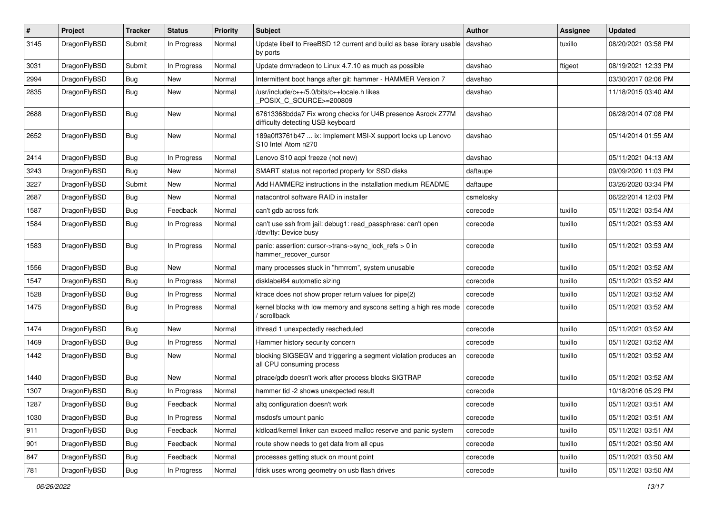| $\pmb{\#}$ | Project      | <b>Tracker</b> | <b>Status</b> | <b>Priority</b> | Subject                                                                                          | <b>Author</b> | Assignee | <b>Updated</b>      |
|------------|--------------|----------------|---------------|-----------------|--------------------------------------------------------------------------------------------------|---------------|----------|---------------------|
| 3145       | DragonFlyBSD | Submit         | In Progress   | Normal          | Update libelf to FreeBSD 12 current and build as base library usable<br>by ports                 | davshao       | tuxillo  | 08/20/2021 03:58 PM |
| 3031       | DragonFlyBSD | Submit         | In Progress   | Normal          | Update drm/radeon to Linux 4.7.10 as much as possible                                            | davshao       | ftigeot  | 08/19/2021 12:33 PM |
| 2994       | DragonFlyBSD | Bug            | New           | Normal          | Intermittent boot hangs after git: hammer - HAMMER Version 7                                     | davshao       |          | 03/30/2017 02:06 PM |
| 2835       | DragonFlyBSD | <b>Bug</b>     | New           | Normal          | /usr/include/c++/5.0/bits/c++locale.h likes<br>POSIX C SOURCE>=200809                            | davshao       |          | 11/18/2015 03:40 AM |
| 2688       | DragonFlyBSD | Bug            | New           | Normal          | 67613368bdda7 Fix wrong checks for U4B presence Asrock Z77M<br>difficulty detecting USB keyboard | davshao       |          | 06/28/2014 07:08 PM |
| 2652       | DragonFlyBSD | Bug            | New           | Normal          | 189a0ff3761b47  ix: Implement MSI-X support locks up Lenovo<br>S10 Intel Atom n270               | davshao       |          | 05/14/2014 01:55 AM |
| 2414       | DragonFlyBSD | <b>Bug</b>     | In Progress   | Normal          | Lenovo S10 acpi freeze (not new)                                                                 | davshao       |          | 05/11/2021 04:13 AM |
| 3243       | DragonFlyBSD | Bug            | New           | Normal          | SMART status not reported properly for SSD disks                                                 | daftaupe      |          | 09/09/2020 11:03 PM |
| 3227       | DragonFlyBSD | Submit         | New           | Normal          | Add HAMMER2 instructions in the installation medium README                                       | daftaupe      |          | 03/26/2020 03:34 PM |
| 2687       | DragonFlyBSD | Bug            | New           | Normal          | natacontrol software RAID in installer                                                           | csmelosky     |          | 06/22/2014 12:03 PM |
| 1587       | DragonFlyBSD | Bug            | Feedback      | Normal          | can't gdb across fork                                                                            | corecode      | tuxillo  | 05/11/2021 03:54 AM |
| 1584       | DragonFlyBSD | Bug            | In Progress   | Normal          | can't use ssh from jail: debug1: read_passphrase: can't open<br>/dev/tty: Device busy            | corecode      | tuxillo  | 05/11/2021 03:53 AM |
| 1583       | DragonFlyBSD | Bug            | In Progress   | Normal          | panic: assertion: cursor->trans->sync_lock_refs > 0 in<br>hammer_recover_cursor                  | corecode      | tuxillo  | 05/11/2021 03:53 AM |
| 1556       | DragonFlyBSD | Bug            | New           | Normal          | many processes stuck in "hmrrcm", system unusable                                                | corecode      | tuxillo  | 05/11/2021 03:52 AM |
| 1547       | DragonFlyBSD | Bug            | In Progress   | Normal          | disklabel64 automatic sizing                                                                     | corecode      | tuxillo  | 05/11/2021 03:52 AM |
| 1528       | DragonFlyBSD | Bug            | In Progress   | Normal          | ktrace does not show proper return values for pipe(2)                                            | corecode      | tuxillo  | 05/11/2021 03:52 AM |
| 1475       | DragonFlyBSD | Bug            | In Progress   | Normal          | kernel blocks with low memory and syscons setting a high res mode<br>/ scrollback                | corecode      | tuxillo  | 05/11/2021 03:52 AM |
| 1474       | DragonFlyBSD | Bug            | New           | Normal          | ithread 1 unexpectedly rescheduled                                                               | corecode      | tuxillo  | 05/11/2021 03:52 AM |
| 1469       | DragonFlyBSD | Bug            | In Progress   | Normal          | Hammer history security concern                                                                  | corecode      | tuxillo  | 05/11/2021 03:52 AM |
| 1442       | DragonFlyBSD | <b>Bug</b>     | New           | Normal          | blocking SIGSEGV and triggering a segment violation produces an<br>all CPU consuming process     | corecode      | tuxillo  | 05/11/2021 03:52 AM |
| 1440       | DragonFlyBSD | Bug            | <b>New</b>    | Normal          | ptrace/gdb doesn't work after process blocks SIGTRAP                                             | corecode      | tuxillo  | 05/11/2021 03:52 AM |
| 1307       | DragonFlyBSD | Bug            | In Progress   | Normal          | hammer tid -2 shows unexpected result                                                            | corecode      |          | 10/18/2016 05:29 PM |
| 1287       | DragonFlyBSD | <b>Bug</b>     | Feedback      | Normal          | altq configuration doesn't work                                                                  | corecode      | tuxillo  | 05/11/2021 03:51 AM |
| 1030       | DragonFlyBSD | <b>Bug</b>     | In Progress   | Normal          | msdosfs umount panic                                                                             | corecode      | tuxillo  | 05/11/2021 03:51 AM |
| 911        | DragonFlyBSD | <b>Bug</b>     | Feedback      | Normal          | kldload/kernel linker can exceed malloc reserve and panic system                                 | corecode      | tuxillo  | 05/11/2021 03:51 AM |
| 901        | DragonFlyBSD | Bug            | Feedback      | Normal          | route show needs to get data from all cpus                                                       | corecode      | tuxillo  | 05/11/2021 03:50 AM |
| 847        | DragonFlyBSD | Bug            | Feedback      | Normal          | processes getting stuck on mount point                                                           | corecode      | tuxillo  | 05/11/2021 03:50 AM |
| 781        | DragonFlyBSD | <b>Bug</b>     | In Progress   | Normal          | fdisk uses wrong geometry on usb flash drives                                                    | corecode      | tuxillo  | 05/11/2021 03:50 AM |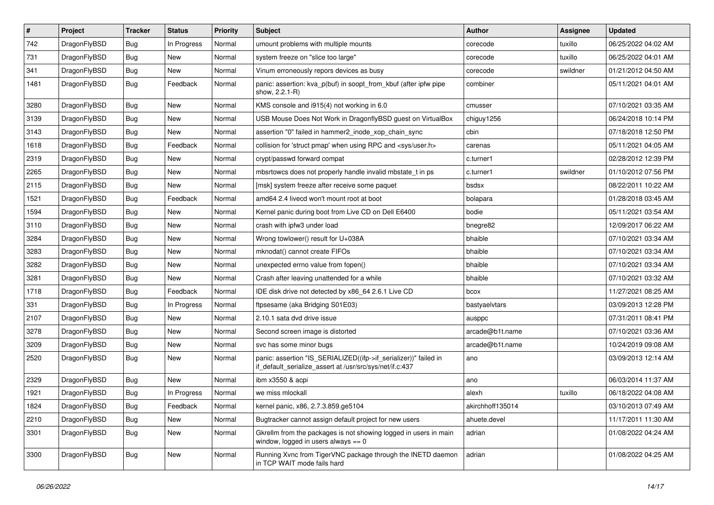| $\vert$ # | Project      | <b>Tracker</b> | <b>Status</b> | <b>Priority</b> | Subject                                                                                                                      | Author           | Assignee | <b>Updated</b>      |
|-----------|--------------|----------------|---------------|-----------------|------------------------------------------------------------------------------------------------------------------------------|------------------|----------|---------------------|
| 742       | DragonFlyBSD | Bug            | In Progress   | Normal          | umount problems with multiple mounts                                                                                         | corecode         | tuxillo  | 06/25/2022 04:02 AM |
| 731       | DragonFlyBSD | Bug            | <b>New</b>    | Normal          | system freeze on "slice too large"                                                                                           | corecode         | tuxillo  | 06/25/2022 04:01 AM |
| 341       | DragonFlyBSD | <b>Bug</b>     | New           | Normal          | Vinum erroneously repors devices as busy                                                                                     | corecode         | swildner | 01/21/2012 04:50 AM |
| 1481      | DragonFlyBSD | Bug            | Feedback      | Normal          | panic: assertion: kva_p(buf) in soopt_from_kbuf (after ipfw pipe<br>show, 2.2.1-R)                                           | combiner         |          | 05/11/2021 04:01 AM |
| 3280      | DragonFlyBSD | <b>Bug</b>     | <b>New</b>    | Normal          | KMS console and i915(4) not working in 6.0                                                                                   | cmusser          |          | 07/10/2021 03:35 AM |
| 3139      | DragonFlyBSD | <b>Bug</b>     | <b>New</b>    | Normal          | USB Mouse Does Not Work in DragonflyBSD guest on VirtualBox                                                                  | chiguy1256       |          | 06/24/2018 10:14 PM |
| 3143      | DragonFlyBSD | <b>Bug</b>     | New           | Normal          | assertion "0" failed in hammer2 inode xop chain sync                                                                         | cbin             |          | 07/18/2018 12:50 PM |
| 1618      | DragonFlyBSD | Bug            | Feedback      | Normal          | collision for 'struct pmap' when using RPC and <sys user.h=""></sys>                                                         | carenas          |          | 05/11/2021 04:05 AM |
| 2319      | DragonFlyBSD | <b>Bug</b>     | <b>New</b>    | Normal          | crypt/passwd forward compat                                                                                                  | c.turner1        |          | 02/28/2012 12:39 PM |
| 2265      | DragonFlyBSD | <b>Bug</b>     | New           | Normal          | mbsrtowcs does not properly handle invalid mbstate t in ps                                                                   | c.turner1        | swildner | 01/10/2012 07:56 PM |
| 2115      | DragonFlyBSD | Bug            | <b>New</b>    | Normal          | [msk] system freeze after receive some paquet                                                                                | bsdsx            |          | 08/22/2011 10:22 AM |
| 1521      | DragonFlyBSD | <b>Bug</b>     | Feedback      | Normal          | amd64 2.4 livecd won't mount root at boot                                                                                    | bolapara         |          | 01/28/2018 03:45 AM |
| 1594      | DragonFlyBSD | <b>Bug</b>     | <b>New</b>    | Normal          | Kernel panic during boot from Live CD on Dell E6400                                                                          | bodie            |          | 05/11/2021 03:54 AM |
| 3110      | DragonFlyBSD | <b>Bug</b>     | <b>New</b>    | Normal          | crash with ipfw3 under load                                                                                                  | bnegre82         |          | 12/09/2017 06:22 AM |
| 3284      | DragonFlyBSD | Bug            | <b>New</b>    | Normal          | Wrong towlower() result for U+038A                                                                                           | bhaible          |          | 07/10/2021 03:34 AM |
| 3283      | DragonFlyBSD | Bug            | <b>New</b>    | Normal          | mknodat() cannot create FIFOs                                                                                                | bhaible          |          | 07/10/2021 03:34 AM |
| 3282      | DragonFlyBSD | Bug            | <b>New</b>    | Normal          | unexpected errno value from fopen()                                                                                          | bhaible          |          | 07/10/2021 03:34 AM |
| 3281      | DragonFlyBSD | <b>Bug</b>     | <b>New</b>    | Normal          | Crash after leaving unattended for a while                                                                                   | bhaible          |          | 07/10/2021 03:32 AM |
| 1718      | DragonFlyBSD | Bug            | Feedback      | Normal          | IDE disk drive not detected by x86_64 2.6.1 Live CD                                                                          | bcox             |          | 11/27/2021 08:25 AM |
| 331       | DragonFlyBSD | <b>Bug</b>     | In Progress   | Normal          | ftpsesame (aka Bridging S01E03)                                                                                              | bastyaelvtars    |          | 03/09/2013 12:28 PM |
| 2107      | DragonFlyBSD | Bug            | <b>New</b>    | Normal          | 2.10.1 sata dvd drive issue                                                                                                  | ausppc           |          | 07/31/2011 08:41 PM |
| 3278      | DragonFlyBSD | <b>Bug</b>     | <b>New</b>    | Normal          | Second screen image is distorted                                                                                             | arcade@b1t.name  |          | 07/10/2021 03:36 AM |
| 3209      | DragonFlyBSD | <b>Bug</b>     | New           | Normal          | svc has some minor bugs                                                                                                      | arcade@b1t.name  |          | 10/24/2019 09:08 AM |
| 2520      | DragonFlyBSD | Bug            | <b>New</b>    | Normal          | panic: assertion "IS_SERIALIZED((ifp->if_serializer))" failed in<br>if_default_serialize_assert at /usr/src/sys/net/if.c:437 | ano              |          | 03/09/2013 12:14 AM |
| 2329      | DragonFlyBSD | Bug            | <b>New</b>    | Normal          | ibm x3550 & acpi                                                                                                             | ano              |          | 06/03/2014 11:37 AM |
| 1921      | DragonFlyBSD | <b>Bug</b>     | In Progress   | Normal          | we miss mlockall                                                                                                             | alexh            | tuxillo  | 06/18/2022 04:08 AM |
| 1824      | DragonFlyBSD | Bug            | Feedback      | Normal          | kernel panic, x86, 2.7.3.859.ge5104                                                                                          | akirchhoff135014 |          | 03/10/2013 07:49 AM |
| 2210      | DragonFlyBSD | <b>Bug</b>     | New           | Normal          | Bugtracker cannot assign default project for new users                                                                       | ahuete.devel     |          | 11/17/2011 11:30 AM |
| 3301      | DragonFlyBSD | <b>Bug</b>     | New           | Normal          | Gkrellm from the packages is not showing logged in users in main<br>window, logged in users always $== 0$                    | adrian           |          | 01/08/2022 04:24 AM |
| 3300      | DragonFlyBSD | Bug            | New           | Normal          | Running Xvnc from TigerVNC package through the INETD daemon<br>in TCP WAIT mode fails hard                                   | adrian           |          | 01/08/2022 04:25 AM |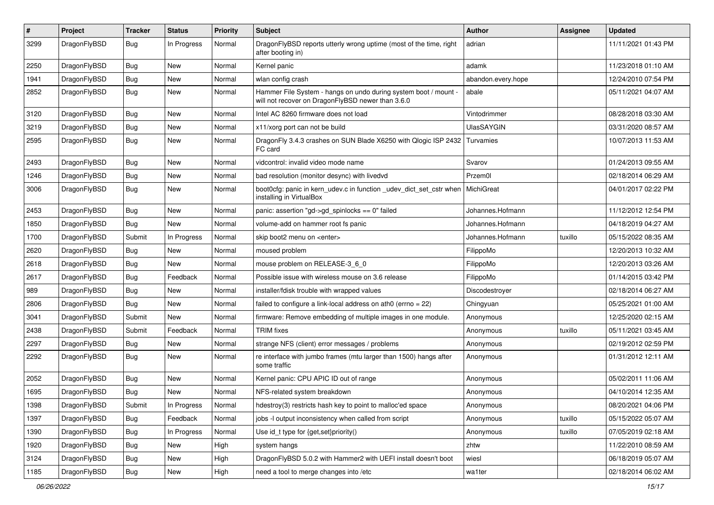| $\pmb{\#}$ | Project      | <b>Tracker</b> | <b>Status</b> | <b>Priority</b> | Subject                                                                                                              | Author             | <b>Assignee</b> | <b>Updated</b>      |
|------------|--------------|----------------|---------------|-----------------|----------------------------------------------------------------------------------------------------------------------|--------------------|-----------------|---------------------|
| 3299       | DragonFlyBSD | Bug            | In Progress   | Normal          | DragonFlyBSD reports utterly wrong uptime (most of the time, right<br>after booting in)                              | adrian             |                 | 11/11/2021 01:43 PM |
| 2250       | DragonFlyBSD | <b>Bug</b>     | <b>New</b>    | Normal          | Kernel panic                                                                                                         | adamk              |                 | 11/23/2018 01:10 AM |
| 1941       | DragonFlyBSD | Bug            | <b>New</b>    | Normal          | wlan config crash                                                                                                    | abandon.every.hope |                 | 12/24/2010 07:54 PM |
| 2852       | DragonFlyBSD | Bug            | <b>New</b>    | Normal          | Hammer File System - hangs on undo during system boot / mount -<br>will not recover on DragonFlyBSD newer than 3.6.0 | abale              |                 | 05/11/2021 04:07 AM |
| 3120       | DragonFlyBSD | Bug            | New           | Normal          | Intel AC 8260 firmware does not load                                                                                 | Vintodrimmer       |                 | 08/28/2018 03:30 AM |
| 3219       | DragonFlyBSD | <b>Bug</b>     | <b>New</b>    | Normal          | x11/xorg port can not be build                                                                                       | <b>UlasSAYGIN</b>  |                 | 03/31/2020 08:57 AM |
| 2595       | DragonFlyBSD | Bug            | New           | Normal          | DragonFly 3.4.3 crashes on SUN Blade X6250 with Qlogic ISP 2432<br>FC card                                           | Turvamies          |                 | 10/07/2013 11:53 AM |
| 2493       | DragonFlyBSD | <b>Bug</b>     | <b>New</b>    | Normal          | vidcontrol: invalid video mode name                                                                                  | Svarov             |                 | 01/24/2013 09:55 AM |
| 1246       | DragonFlyBSD | Bug            | <b>New</b>    | Normal          | bad resolution (monitor desync) with livedvd                                                                         | Przem0l            |                 | 02/18/2014 06:29 AM |
| 3006       | DragonFlyBSD | Bug            | <b>New</b>    | Normal          | boot0cfg: panic in kern_udev.c in function _udev_dict_set_cstr when<br>installing in VirtualBox                      | MichiGreat         |                 | 04/01/2017 02:22 PM |
| 2453       | DragonFlyBSD | Bug            | <b>New</b>    | Normal          | panic: assertion "gd->gd_spinlocks == 0" failed                                                                      | Johannes.Hofmann   |                 | 11/12/2012 12:54 PM |
| 1850       | DragonFlyBSD | <b>Bug</b>     | New           | Normal          | volume-add on hammer root fs panic                                                                                   | Johannes.Hofmann   |                 | 04/18/2019 04:27 AM |
| 1700       | DragonFlyBSD | Submit         | In Progress   | Normal          | skip boot2 menu on <enter></enter>                                                                                   | Johannes.Hofmann   | tuxillo         | 05/15/2022 08:35 AM |
| 2620       | DragonFlyBSD | Bug            | <b>New</b>    | Normal          | moused problem                                                                                                       | FilippoMo          |                 | 12/20/2013 10:32 AM |
| 2618       | DragonFlyBSD | Bug            | New           | Normal          | mouse problem on RELEASE-3_6_0                                                                                       | FilippoMo          |                 | 12/20/2013 03:26 AM |
| 2617       | DragonFlyBSD | Bug            | Feedback      | Normal          | Possible issue with wireless mouse on 3.6 release                                                                    | FilippoMo          |                 | 01/14/2015 03:42 PM |
| 989        | DragonFlyBSD | <b>Bug</b>     | <b>New</b>    | Normal          | installer/fdisk trouble with wrapped values                                                                          | Discodestroyer     |                 | 02/18/2014 06:27 AM |
| 2806       | DragonFlyBSD | Bug            | New           | Normal          | failed to configure a link-local address on ath0 (errno = 22)                                                        | Chingyuan          |                 | 05/25/2021 01:00 AM |
| 3041       | DragonFlyBSD | Submit         | <b>New</b>    | Normal          | firmware: Remove embedding of multiple images in one module.                                                         | Anonymous          |                 | 12/25/2020 02:15 AM |
| 2438       | DragonFlyBSD | Submit         | Feedback      | Normal          | <b>TRIM</b> fixes                                                                                                    | Anonymous          | tuxillo         | 05/11/2021 03:45 AM |
| 2297       | DragonFlyBSD | Bug            | <b>New</b>    | Normal          | strange NFS (client) error messages / problems                                                                       | Anonymous          |                 | 02/19/2012 02:59 PM |
| 2292       | DragonFlyBSD | Bug            | <b>New</b>    | Normal          | re interface with jumbo frames (mtu larger than 1500) hangs after<br>some traffic                                    | Anonymous          |                 | 01/31/2012 12:11 AM |
| 2052       | DragonFlyBSD | Bug            | <b>New</b>    | Normal          | Kernel panic: CPU APIC ID out of range                                                                               | Anonymous          |                 | 05/02/2011 11:06 AM |
| 1695       | DragonFlyBSD | Bug            | New           | Normal          | NFS-related system breakdown                                                                                         | Anonymous          |                 | 04/10/2014 12:35 AM |
| 1398       | DragonFlyBSD | Submit         | In Progress   | Normal          | hdestroy(3) restricts hash key to point to malloc'ed space                                                           | Anonymous          |                 | 08/20/2021 04:06 PM |
| 1397       | DragonFlyBSD | Bug            | Feedback      | Normal          | jobs -I output inconsistency when called from script                                                                 | Anonymous          | tuxillo         | 05/15/2022 05:07 AM |
| 1390       | DragonFlyBSD | Bug            | In Progress   | Normal          | Use id_t type for {get,set}priority()                                                                                | Anonymous          | tuxillo         | 07/05/2019 02:18 AM |
| 1920       | DragonFlyBSD | Bug            | New           | High            | system hangs                                                                                                         | zhtw               |                 | 11/22/2010 08:59 AM |
| 3124       | DragonFlyBSD | <b>Bug</b>     | New           | High            | DragonFlyBSD 5.0.2 with Hammer2 with UEFI install doesn't boot                                                       | wiesl              |                 | 06/18/2019 05:07 AM |
| 1185       | DragonFlyBSD | <b>Bug</b>     | New           | High            | need a tool to merge changes into /etc                                                                               | wa1ter             |                 | 02/18/2014 06:02 AM |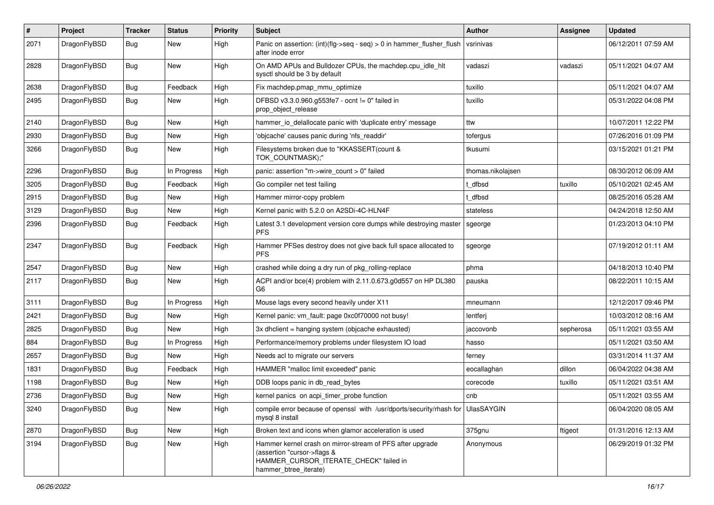| #    | Project      | <b>Tracker</b> | <b>Status</b> | <b>Priority</b> | Subject                                                                                                                                                     | Author            | <b>Assignee</b> | <b>Updated</b>      |
|------|--------------|----------------|---------------|-----------------|-------------------------------------------------------------------------------------------------------------------------------------------------------------|-------------------|-----------------|---------------------|
| 2071 | DragonFlyBSD | <b>Bug</b>     | New           | High            | Panic on assertion: (int)(flg->seq - seq) > 0 in hammer_flusher_flush<br>after inode error                                                                  | vsrinivas         |                 | 06/12/2011 07:59 AM |
| 2828 | DragonFlyBSD | Bug            | New           | High            | On AMD APUs and Bulldozer CPUs, the machdep.cpu_idle_hlt<br>sysctl should be 3 by default                                                                   | vadaszi           | vadaszi         | 05/11/2021 04:07 AM |
| 2638 | DragonFlyBSD | Bug            | Feedback      | High            | Fix machdep.pmap_mmu_optimize                                                                                                                               | tuxillo           |                 | 05/11/2021 04:07 AM |
| 2495 | DragonFlyBSD | <b>Bug</b>     | New           | High            | DFBSD v3.3.0.960.g553fe7 - ocnt != 0" failed in<br>prop_object_release                                                                                      | tuxillo           |                 | 05/31/2022 04:08 PM |
| 2140 | DragonFlyBSD | Bug            | New           | High            | hammer_io_delallocate panic with 'duplicate entry' message                                                                                                  | ttw               |                 | 10/07/2011 12:22 PM |
| 2930 | DragonFlyBSD | Bug            | <b>New</b>    | High            | 'objcache' causes panic during 'nfs_readdir'                                                                                                                | tofergus          |                 | 07/26/2016 01:09 PM |
| 3266 | DragonFlyBSD | <b>Bug</b>     | New           | High            | Filesystems broken due to "KKASSERT(count &<br>TOK_COUNTMASK);"                                                                                             | tkusumi           |                 | 03/15/2021 01:21 PM |
| 2296 | DragonFlyBSD | Bug            | In Progress   | High            | panic: assertion "m->wire count > 0" failed                                                                                                                 | thomas.nikolajsen |                 | 08/30/2012 06:09 AM |
| 3205 | DragonFlyBSD | Bug            | Feedback      | High            | Go compiler net test failing                                                                                                                                | : dfbsd           | tuxillo         | 05/10/2021 02:45 AM |
| 2915 | DragonFlyBSD | Bug            | New           | High            | Hammer mirror-copy problem                                                                                                                                  | : dfbsd           |                 | 08/25/2016 05:28 AM |
| 3129 | DragonFlyBSD | Bug            | New           | High            | Kernel panic with 5.2.0 on A2SDi-4C-HLN4F                                                                                                                   | stateless         |                 | 04/24/2018 12:50 AM |
| 2396 | DragonFlyBSD | <b>Bug</b>     | Feedback      | High            | Latest 3.1 development version core dumps while destroying master<br><b>PFS</b>                                                                             | sgeorge           |                 | 01/23/2013 04:10 PM |
| 2347 | DragonFlyBSD | <b>Bug</b>     | Feedback      | High            | Hammer PFSes destroy does not give back full space allocated to<br><b>PFS</b>                                                                               | sgeorge           |                 | 07/19/2012 01:11 AM |
| 2547 | DragonFlyBSD | Bug            | <b>New</b>    | High            | crashed while doing a dry run of pkg rolling-replace                                                                                                        | phma              |                 | 04/18/2013 10:40 PM |
| 2117 | DragonFlyBSD | Bug            | New           | High            | ACPI and/or bce(4) problem with 2.11.0.673.g0d557 on HP DL380<br>G <sub>6</sub>                                                                             | pauska            |                 | 08/22/2011 10:15 AM |
| 3111 | DragonFlyBSD | Bug            | In Progress   | High            | Mouse lags every second heavily under X11                                                                                                                   | mneumann          |                 | 12/12/2017 09:46 PM |
| 2421 | DragonFlyBSD | <b>Bug</b>     | New           | High            | Kernel panic: vm_fault: page 0xc0f70000 not busy!                                                                                                           | lentferj          |                 | 10/03/2012 08:16 AM |
| 2825 | DragonFlyBSD | <b>Bug</b>     | <b>New</b>    | High            | 3x dhclient = hanging system (objcache exhausted)                                                                                                           | jaccovonb         | sepherosa       | 05/11/2021 03:55 AM |
| 884  | DragonFlyBSD | Bug            | In Progress   | High            | Performance/memory problems under filesystem IO load                                                                                                        | hasso             |                 | 05/11/2021 03:50 AM |
| 2657 | DragonFlyBSD | <b>Bug</b>     | New           | High            | Needs acl to migrate our servers                                                                                                                            | ferney            |                 | 03/31/2014 11:37 AM |
| 1831 | DragonFlyBSD | <b>Bug</b>     | Feedback      | High            | HAMMER "malloc limit exceeded" panic                                                                                                                        | eocallaghan       | dillon          | 06/04/2022 04:38 AM |
| 1198 | DragonFlyBSD | <b>Bug</b>     | New           | High            | DDB loops panic in db read bytes                                                                                                                            | corecode          | tuxillo         | 05/11/2021 03:51 AM |
| 2736 | DragonFlyBSD | <b>Bug</b>     | <b>New</b>    | High            | kernel panics on acpi_timer_probe function                                                                                                                  | cnb               |                 | 05/11/2021 03:55 AM |
| 3240 | DragonFlyBSD | <b>Bug</b>     | New           | High            | compile error because of openssl with /usr/dports/security/rhash for UlasSAYGIN<br>mysql 8 install                                                          |                   |                 | 06/04/2020 08:05 AM |
| 2870 | DragonFlyBSD | <b>Bug</b>     | New           | High            | Broken text and icons when glamor acceleration is used                                                                                                      | 375gnu            | ftigeot         | 01/31/2016 12:13 AM |
| 3194 | DragonFlyBSD | <b>Bug</b>     | New           | High            | Hammer kernel crash on mirror-stream of PFS after upgrade<br>(assertion "cursor->flags &<br>HAMMER_CURSOR_ITERATE_CHECK" failed in<br>hammer_btree_iterate) | Anonymous         |                 | 06/29/2019 01:32 PM |